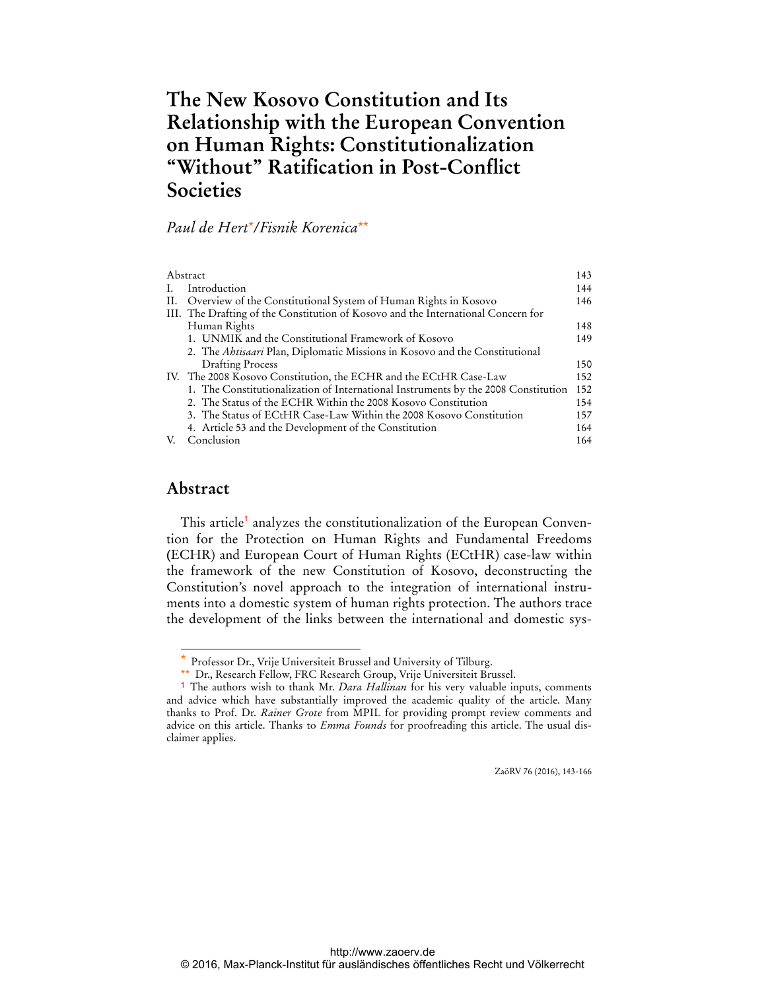# **The New Kosovo Constitution and Its Relationship with the European Convention on Human Rights: Constitutionalization "Without" Ratification in Post-Conflict Societies**

# *Paul de Hert*\**/Fisnik Korenica*\*\*

|    | Abstract                                                                           |     |
|----|------------------------------------------------------------------------------------|-----|
| L. | Introduction                                                                       | 144 |
|    | II. Overview of the Constitutional System of Human Rights in Kosovo                | 146 |
|    | III. The Drafting of the Constitution of Kosovo and the International Concern for  |     |
|    | Human Rights                                                                       | 148 |
|    | 1. UNMIK and the Constitutional Framework of Kosovo                                | 149 |
|    | 2. The <i>Abtisaari</i> Plan, Diplomatic Missions in Kosovo and the Constitutional |     |
|    | <b>Drafting Process</b>                                                            | 150 |
|    | IV. The 2008 Kosovo Constitution, the ECHR and the ECtHR Case-Law                  | 152 |
|    | 1. The Constitutionalization of International Instruments by the 2008 Constitution | 152 |
|    | 2. The Status of the ECHR Within the 2008 Kosovo Constitution                      | 154 |
|    | 3. The Status of ECtHR Case-Law Within the 2008 Kosovo Constitution                | 157 |
|    | 4. Article 53 and the Development of the Constitution                              | 164 |
|    | Conclusion                                                                         | 164 |
|    |                                                                                    |     |

### **Abstract**

 $\overline{a}$ 

This article<sup>1</sup> analyzes the constitutionalization of the European Convention for the Protection on Human Rights and Fundamental Freedoms **(**ECHR) and European Court of Human Rights (ECtHR) case-law within the framework of the new Constitution of Kosovo, deconstructing the Constitution's novel approach to the integration of international instruments into a domestic system of human rights protection. The authors trace the development of the links between the international and domestic sys-

ZaöRV 76 (2016), 143-166

Professor Dr., Vrije Universiteit Brussel and University of Tilburg.

<sup>\*\*</sup> Dr., Research Fellow, FRC Research Group, Vrije Universiteit Brussel.

<sup>1</sup> The authors wish to thank Mr. *Dara Hallinan* for his very valuable inputs, comments and advice which have substantially improved the academic quality of the article. Many thanks to Prof. Dr. *Rainer Grote* from MPIL for providing prompt review comments and advice on this article. Thanks to *Emma Founds* for proofreading this article. The usual disclaimer applies.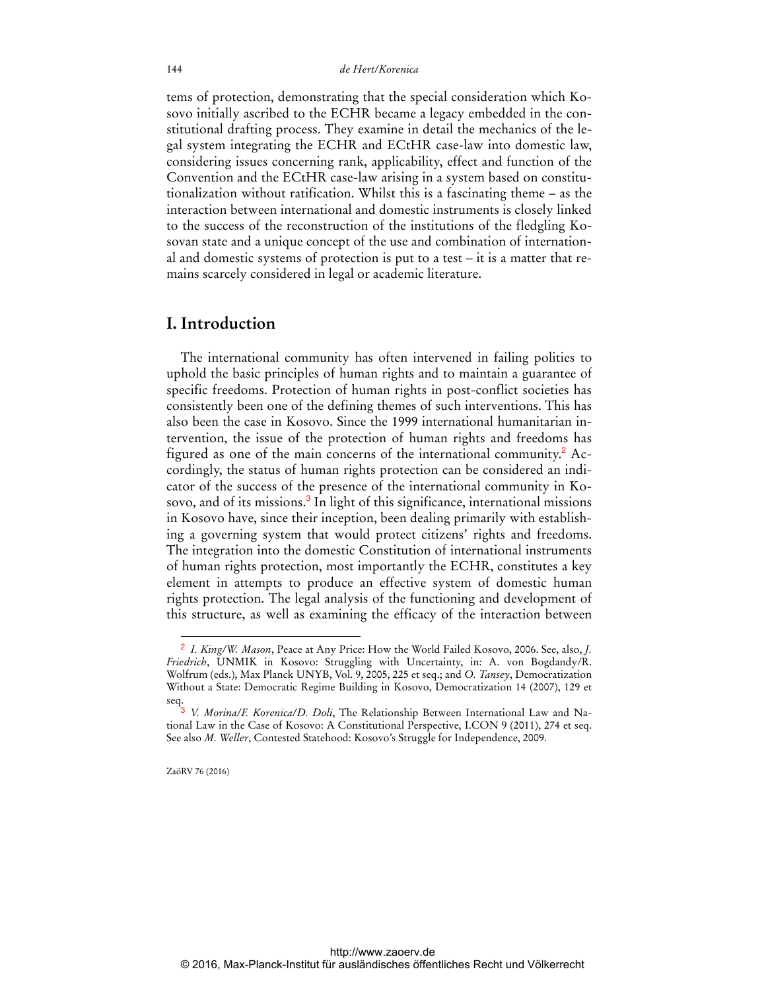tems of protection, demonstrating that the special consideration which Kosovo initially ascribed to the ECHR became a legacy embedded in the constitutional drafting process. They examine in detail the mechanics of the legal system integrating the ECHR and ECtHR case-law into domestic law, considering issues concerning rank, applicability, effect and function of the Convention and the ECtHR case-law arising in a system based on constitutionalization without ratification. Whilst this is a fascinating theme – as the interaction between international and domestic instruments is closely linked to the success of the reconstruction of the institutions of the fledgling Kosovan state and a unique concept of the use and combination of international and domestic systems of protection is put to a test – it is a matter that remains scarcely considered in legal or academic literature.

### **I. Introduction**

The international community has often intervened in failing polities to uphold the basic principles of human rights and to maintain a guarantee of specific freedoms. Protection of human rights in post-conflict societies has consistently been one of the defining themes of such interventions. This has also been the case in Kosovo. Since the 1999 international humanitarian intervention, the issue of the protection of human rights and freedoms has figured as one of the main concerns of the international community.<sup>2</sup> Accordingly, the status of human rights protection can be considered an indicator of the success of the presence of the international community in Kosovo, and of its missions.<sup>3</sup> In light of this significance, international missions in Kosovo have, since their inception, been dealing primarily with establishing a governing system that would protect citizens' rights and freedoms. The integration into the domestic Constitution of international instruments of human rights protection, most importantly the ECHR, constitutes a key element in attempts to produce an effective system of domestic human rights protection. The legal analysis of the functioning and development of this structure, as well as examining the efficacy of the interaction between

ZaöRV 76 (2016)

<sup>2</sup> *I. King/W. Mason*, Peace at Any Price: How the World Failed Kosovo, 2006. See, also, *J. Friedrich*, UNMIK in Kosovo: Struggling with Uncertainty, in: A. von Bogdandy/R. Wolfrum (eds.), Max Planck UNYB, Vol. 9, 2005, 225 et seq.; and *O. Tansey*, Democratization Without a State: Democratic Regime Building in Kosovo, Democratization 14 (2007), 129 et seq.

<sup>3</sup> *V. Morina/F. Korenica/D. Doli*, The Relationship Between International Law and National Law in the Case of Kosovo: A Constitutional Perspective, I.CON 9 (2011), 274 et seq. See also *M. Weller*, Contested Statehood: Kosovo's Struggle for Independence, 2009.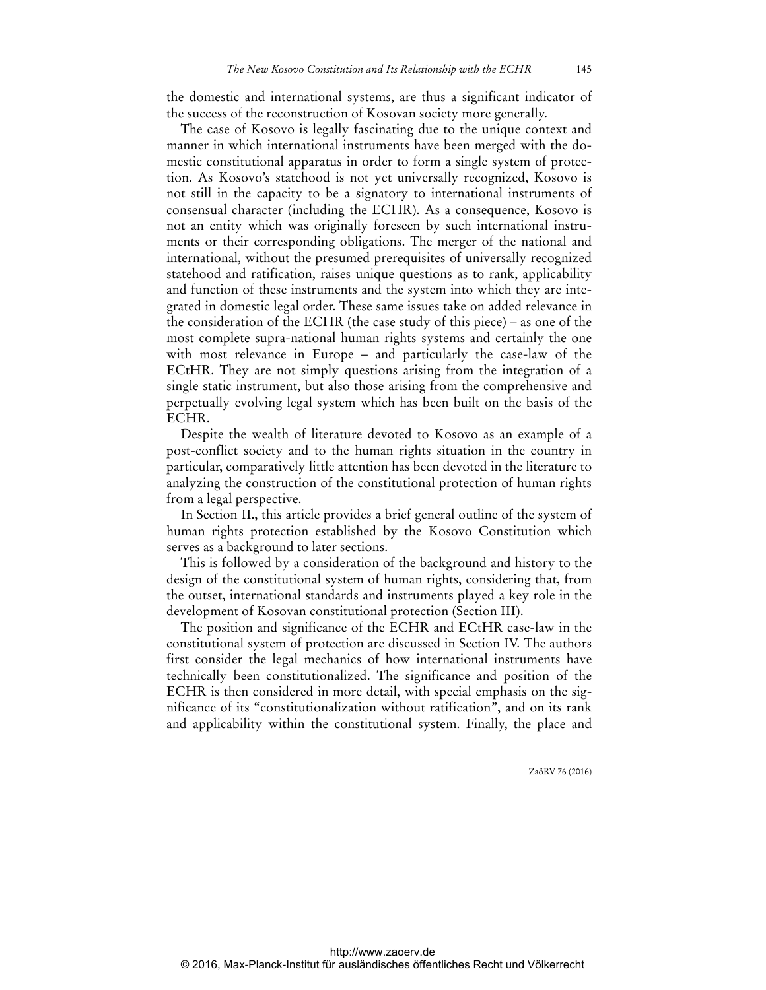the domestic and international systems, are thus a significant indicator of the success of the reconstruction of Kosovan society more generally.

The case of Kosovo is legally fascinating due to the unique context and manner in which international instruments have been merged with the domestic constitutional apparatus in order to form a single system of protection. As Kosovo's statehood is not yet universally recognized, Kosovo is not still in the capacity to be a signatory to international instruments of consensual character (including the ECHR). As a consequence, Kosovo is not an entity which was originally foreseen by such international instruments or their corresponding obligations. The merger of the national and international, without the presumed prerequisites of universally recognized statehood and ratification, raises unique questions as to rank, applicability and function of these instruments and the system into which they are integrated in domestic legal order. These same issues take on added relevance in the consideration of the ECHR (the case study of this piece) – as one of the most complete supra-national human rights systems and certainly the one with most relevance in Europe – and particularly the case-law of the ECtHR. They are not simply questions arising from the integration of a single static instrument, but also those arising from the comprehensive and perpetually evolving legal system which has been built on the basis of the ECHR.

Despite the wealth of literature devoted to Kosovo as an example of a post-conflict society and to the human rights situation in the country in particular, comparatively little attention has been devoted in the literature to analyzing the construction of the constitutional protection of human rights from a legal perspective.

In Section II., this article provides a brief general outline of the system of human rights protection established by the Kosovo Constitution which serves as a background to later sections.

This is followed by a consideration of the background and history to the design of the constitutional system of human rights, considering that, from the outset, international standards and instruments played a key role in the development of Kosovan constitutional protection (Section III).

The position and significance of the ECHR and ECtHR case-law in the constitutional system of protection are discussed in Section IV. The authors first consider the legal mechanics of how international instruments have technically been constitutionalized. The significance and position of the ECHR is then considered in more detail, with special emphasis on the significance of its "constitutionalization without ratification", and on its rank and applicability within the constitutional system. Finally, the place and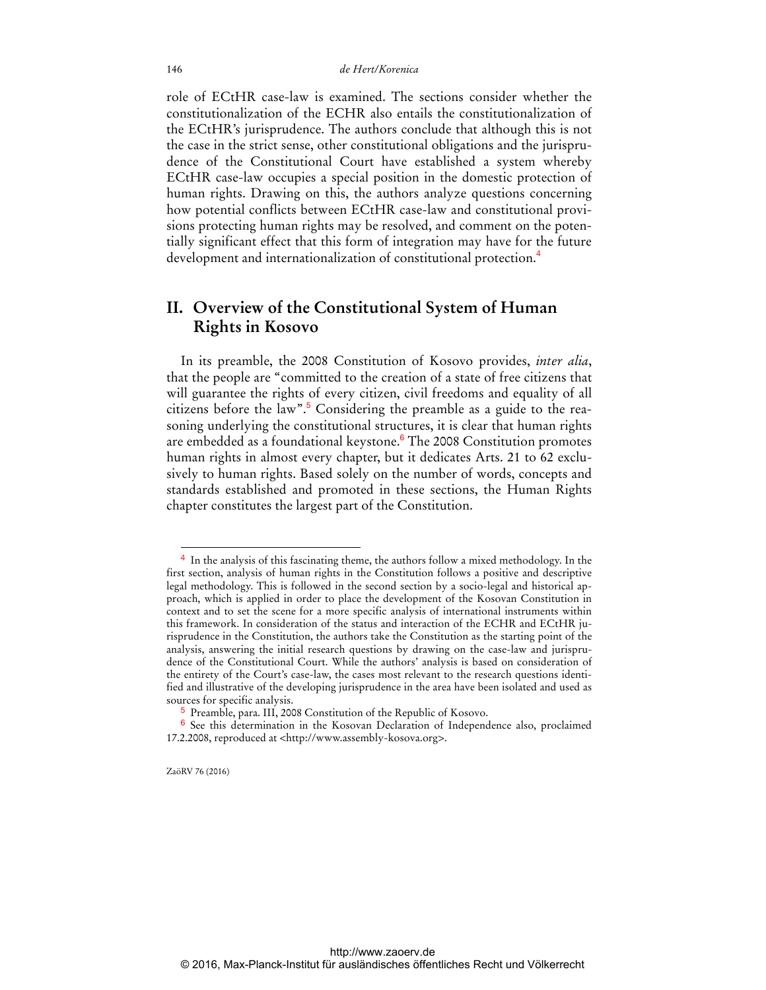role of ECtHR case-law is examined. The sections consider whether the constitutionalization of the ECHR also entails the constitutionalization of the ECtHR's jurisprudence. The authors conclude that although this is not the case in the strict sense, other constitutional obligations and the jurisprudence of the Constitutional Court have established a system whereby ECtHR case-law occupies a special position in the domestic protection of human rights. Drawing on this, the authors analyze questions concerning how potential conflicts between ECtHR case-law and constitutional provisions protecting human rights may be resolved, and comment on the potentially significant effect that this form of integration may have for the future development and internationalization of constitutional protection.<sup>4</sup>

# **II. Overview of the Constitutional System of Human Rights in Kosovo**

In its preamble, the 2008 Constitution of Kosovo provides, *inter alia*, that the people are "committed to the creation of a state of free citizens that will guarantee the rights of every citizen, civil freedoms and equality of all citizens before the law".<sup>5</sup> Considering the preamble as a guide to the reasoning underlying the constitutional structures, it is clear that human rights are embedded as a foundational keystone.<sup>6</sup> The 2008 Constitution promotes human rights in almost every chapter, but it dedicates Arts. 21 to 62 exclusively to human rights. Based solely on the number of words, concepts and standards established and promoted in these sections, the Human Rights chapter constitutes the largest part of the Constitution.

ZaöRV 76 (2016)

<sup>4</sup> In the analysis of this fascinating theme, the authors follow a mixed methodology. In the first section, analysis of human rights in the Constitution follows a positive and descriptive legal methodology. This is followed in the second section by a socio-legal and historical approach, which is applied in order to place the development of the Kosovan Constitution in context and to set the scene for a more specific analysis of international instruments within this framework. In consideration of the status and interaction of the ECHR and ECtHR jurisprudence in the Constitution, the authors take the Constitution as the starting point of the analysis, answering the initial research questions by drawing on the case-law and jurisprudence of the Constitutional Court. While the authors' analysis is based on consideration of the entirety of the Court's case-law, the cases most relevant to the research questions identified and illustrative of the developing jurisprudence in the area have been isolated and used as sources for specific analysis.

<sup>5</sup> Preamble, para. III, 2008 Constitution of the Republic of Kosovo.

<sup>6</sup> See this determination in the Kosovan Declaration of Independence also, proclaimed 17.2.2008, reproduced at <[http://www.assembly-kosova.org>.](http://www.assembly-kosova.org)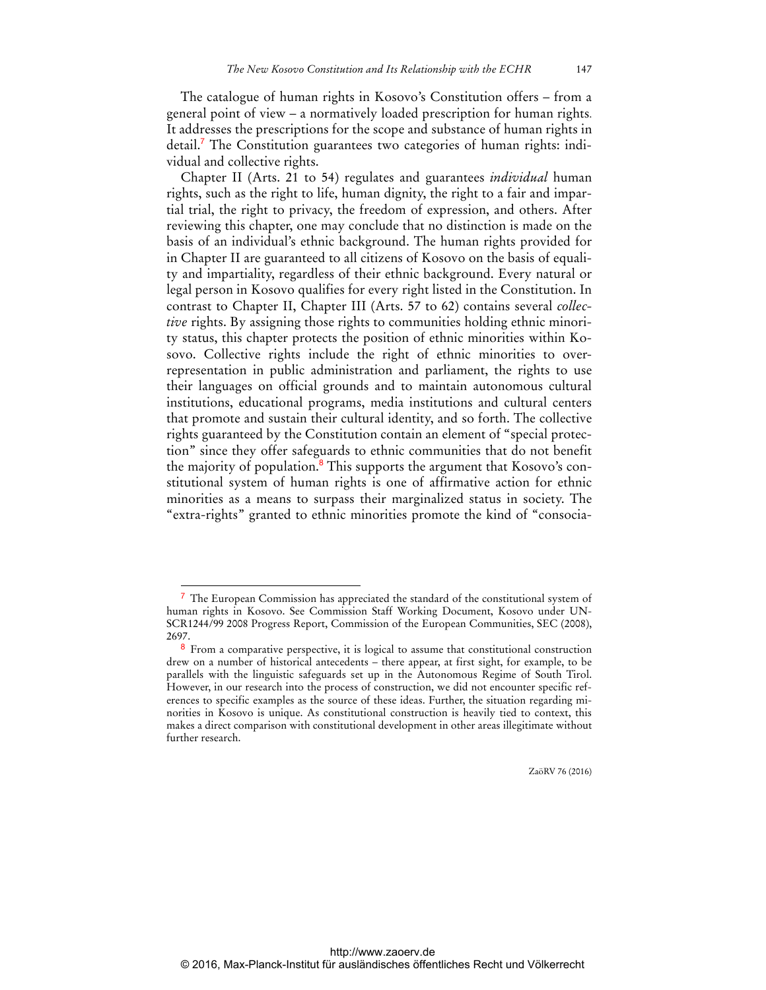The catalogue of human rights in Kosovo's Constitution offers – from a general point of view – a normatively loaded prescription for human rights. It addresses the prescriptions for the scope and substance of human rights in detail.<sup>7</sup> The Constitution guarantees two categories of human rights: individual and collective rights.

Chapter II (Arts. 21 to 54) regulates and guarantees *individual* human rights, such as the right to life, human dignity, the right to a fair and impartial trial, the right to privacy, the freedom of expression, and others. After reviewing this chapter, one may conclude that no distinction is made on the basis of an individual's ethnic background. The human rights provided for in Chapter II are guaranteed to all citizens of Kosovo on the basis of equality and impartiality, regardless of their ethnic background. Every natural or legal person in Kosovo qualifies for every right listed in the Constitution. In contrast to Chapter II, Chapter III (Arts. 57 to 62) contains several *collective* rights. By assigning those rights to communities holding ethnic minority status, this chapter protects the position of ethnic minorities within Kosovo. Collective rights include the right of ethnic minorities to overrepresentation in public administration and parliament, the rights to use their languages on official grounds and to maintain autonomous cultural institutions, educational programs, media institutions and cultural centers that promote and sustain their cultural identity, and so forth. The collective rights guaranteed by the Constitution contain an element of "special protection" since they offer safeguards to ethnic communities that do not benefit the majority of population.<sup>8</sup> This supports the argument that Kosovo's constitutional system of human rights is one of affirmative action for ethnic minorities as a means to surpass their marginalized status in society. The "extra-rights" granted to ethnic minorities promote the kind of "consocia-

 $\overline{a}$ 

<sup>7</sup> The European Commission has appreciated the standard of the constitutional system of human rights in Kosovo. See Commission Staff Working Document, Kosovo under UN-SCR1244/99 2008 Progress Report, Commission of the European Communities, SEC (2008), 2697.

<sup>8</sup> From a comparative perspective, it is logical to assume that constitutional construction drew on a number of historical antecedents – there appear, at first sight, for example, to be parallels with the linguistic safeguards set up in the Autonomous Regime of South Tirol. However, in our research into the process of construction, we did not encounter specific references to specific examples as the source of these ideas. Further, the situation regarding minorities in Kosovo is unique. As constitutional construction is heavily tied to context, this makes a direct comparison with constitutional development in other areas illegitimate without further research.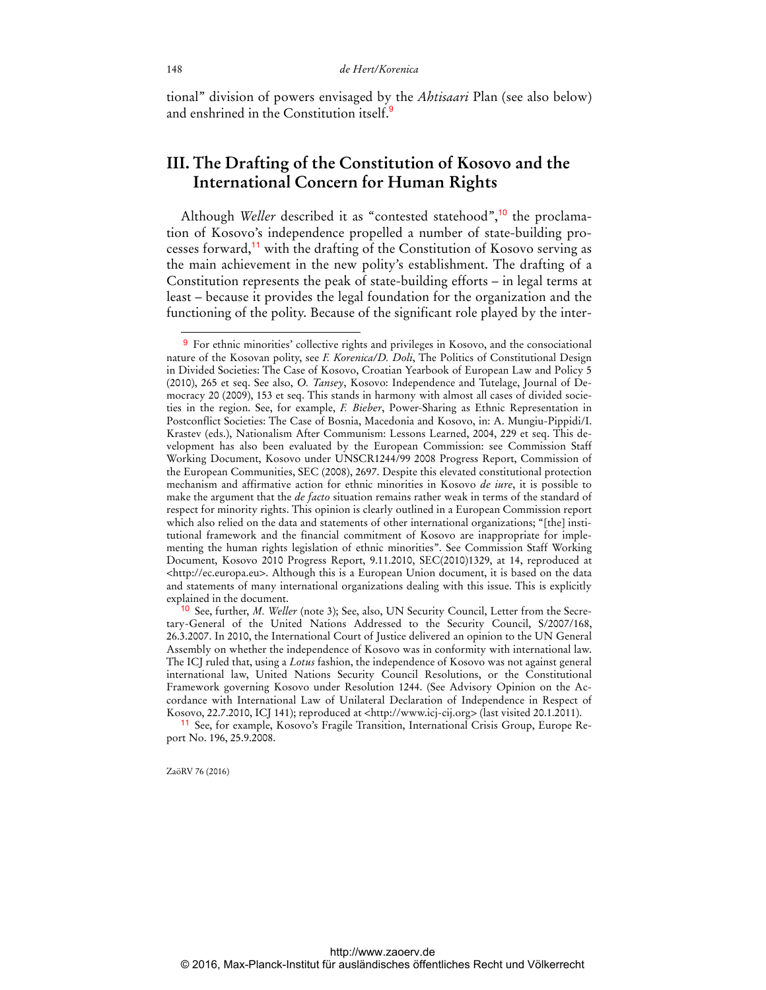tional" division of powers envisaged by the *Ahtisaari* Plan (see also below) and enshrined in the Constitution itself. $\frac{9}{5}$ 

# **III. The Drafting of the Constitution of Kosovo and the International Concern for Human Rights**

Although *Weller* described it as "contested statehood",<sup>10</sup> the proclamation of Kosovo's independence propelled a number of state-building processes forward,<sup>11</sup> with the drafting of the Constitution of Kosovo serving as the main achievement in the new polity's establishment. The drafting of a Constitution represents the peak of state-building efforts – in legal terms at least – because it provides the legal foundation for the organization and the functioning of the polity. Because of the significant role played by the inter-

11 See, for example, Kosovo's Fragile Transition, International Crisis Group, Europe Report No. 196, 25.9.2008.

ZaöRV 76 (2016)

<sup>9</sup> For ethnic minorities' collective rights and privileges in Kosovo, and the consociational nature of the Kosovan polity, see *F. Korenica/D. Doli*, The Politics of Constitutional Design in Divided Societies: The Case of Kosovo, Croatian Yearbook of European Law and Policy 5 (2010), 265 et seq. See also, *O. Tansey*, Kosovo: Independence and Tutelage, Journal of Democracy 20 (2009), 153 et seq. This stands in harmony with almost all cases of divided societies in the region. See, for example, *F. Bieber*, Power-Sharing as Ethnic Representation in Postconflict Societies: The Case of Bosnia, Macedonia and Kosovo, in: A. Mungiu-Pippidi/I. Krastev (eds.), Nationalism After Communism: Lessons Learned, 2004, 229 et seq. This development has also been evaluated by the European Commission: see Commission Staff Working Document, Kosovo under UNSCR1244/99 2008 Progress Report, Commission of the European Communities, SEC (2008), 2697. Despite this elevated constitutional protection mechanism and affirmative action for ethnic minorities in Kosovo *de iure*, it is possible to make the argument that the *de facto* situation remains rather weak in terms of the standard of respect for minority rights. This opinion is clearly outlined in a European Commission report which also relied on the data and statements of other international organizations; "[the] institutional framework and the financial commitment of Kosovo are inappropriate for implementing the human rights legislation of ethnic minorities". See Commission Staff Working Document, Kosovo 2010 Progress Report, 9.11.2010, SEC(2010)1329, at 14, reproduced at [<http://ec.europa.eu](http://ec.europa.eu)>. Although this is a European Union document, it is based on the data and statements of many international organizations dealing with this issue. This is explicitly explained in the document.

<sup>10</sup> See, further, *M. Weller* (note 3); See, also, UN Security Council, Letter from the Secretary-General of the United Nations Addressed to the Security Council, S/2007/168, 26.3.2007. In 2010, the International Court of Justice delivered an opinion to the UN General Assembly on whether the independence of Kosovo was in conformity with international law. The ICJ ruled that, using a *Lotus* fashion, the independence of Kosovo was not against general international law, United Nations Security Council Resolutions, or the Constitutional Framework governing Kosovo under Resolution 1244. (See Advisory Opinion on the Accordance with International Law of Unilateral Declaration of Independence in Respect of Kosovo, 22.7.2010, ICJ 141); reproduced at [<http://www.icj-cij.org>](http://www.icj-cij.org) (last visited 20.1.2011).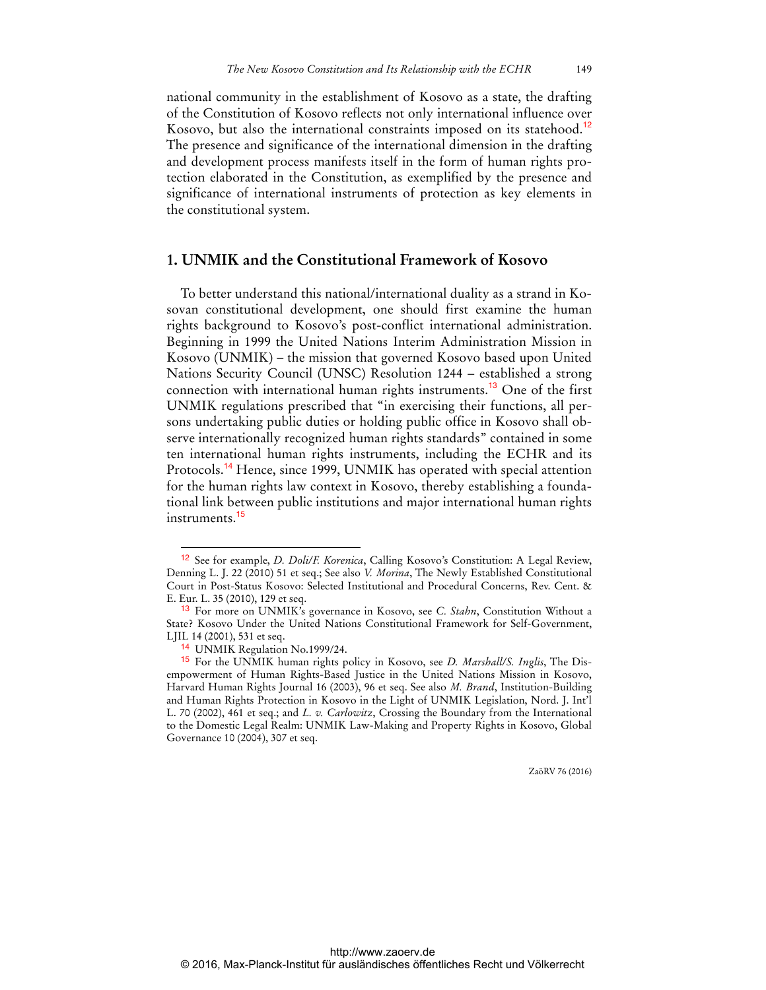national community in the establishment of Kosovo as a state, the drafting of the Constitution of Kosovo reflects not only international influence over Kosovo, but also the international constraints imposed on its statehood.<sup>12</sup> The presence and significance of the international dimension in the drafting and development process manifests itself in the form of human rights protection elaborated in the Constitution, as exemplified by the presence and significance of international instruments of protection as key elements in the constitutional system.

### **1. UNMIK and the Constitutional Framework of Kosovo**

To better understand this national/international duality as a strand in Kosovan constitutional development, one should first examine the human rights background to Kosovo's post-conflict international administration. Beginning in 1999 the United Nations Interim Administration Mission in Kosovo (UNMIK) – the mission that governed Kosovo based upon United Nations Security Council (UNSC) Resolution 1244 – established a strong connection with international human rights instruments.<sup>13</sup> One of the first UNMIK regulations prescribed that "in exercising their functions, all persons undertaking public duties or holding public office in Kosovo shall observe internationally recognized human rights standards" contained in some ten international human rights instruments, including the ECHR and its Protocols.<sup>14</sup> Hence, since 1999, UNMIK has operated with special attention for the human rights law context in Kosovo, thereby establishing a foundational link between public institutions and major international human rights instruments.<sup>15</sup>

 $\overline{a}$ 

<sup>12</sup> See for example, *D. Doli/F. Korenica*, Calling Kosovo's Constitution: A Legal Review, Denning L. J. 22 (2010) 51 et seq.; See also *V. Morina*, The Newly Established Constitutional Court in Post-Status Kosovo: Selected Institutional and Procedural Concerns, Rev. Cent. & E. Eur. L. 35 (2010), 129 et seq.

<sup>13</sup> For more on UNMIK's governance in Kosovo, see *C. Stahn*, Constitution Without a State? Kosovo Under the United Nations Constitutional Framework for Self-Government, LJIL 14 (2001), 531 et seq.

<sup>14</sup> UNMIK Regulation No.1999/24.

<sup>15</sup> For the UNMIK human rights policy in Kosovo, see *D. Marshall/S. Inglis*, The Disempowerment of Human Rights-Based Justice in the United Nations Mission in Kosovo, Harvard Human Rights Journal 16 (2003), 96 et seq. See also *M. Brand*, Institution-Building and Human Rights Protection in Kosovo in the Light of UNMIK Legislation, Nord. J. Int'l L. 70 (2002), 461 et seq.; and *L. v. Carlowitz*, Crossing the Boundary from the International to the Domestic Legal Realm: UNMIK Law-Making and Property Rights in Kosovo, Global Governance 10 (2004), 307 et seq.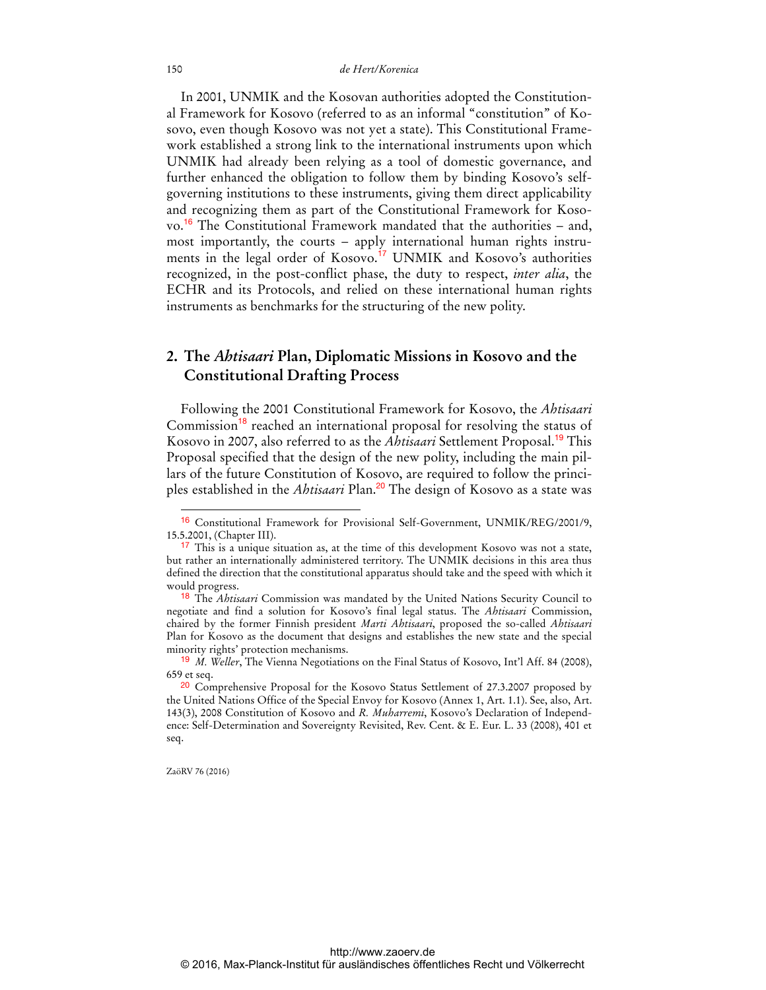In 2001, UNMIK and the Kosovan authorities adopted the Constitutional Framework for Kosovo (referred to as an informal "constitution" of Kosovo, even though Kosovo was not yet a state). This Constitutional Framework established a strong link to the international instruments upon which UNMIK had already been relying as a tool of domestic governance, and further enhanced the obligation to follow them by binding Kosovo's selfgoverning institutions to these instruments, giving them direct applicability and recognizing them as part of the Constitutional Framework for Kosovo.<sup>16</sup> The Constitutional Framework mandated that the authorities – and, most importantly, the courts – apply international human rights instruments in the legal order of Kosovo.<sup>17</sup> UNMIK and Kosovo's authorities recognized, in the post-conflict phase, the duty to respect, *inter alia*, the ECHR and its Protocols, and relied on these international human rights instruments as benchmarks for the structuring of the new polity.

### **2. The** *Ahtisaari* **Plan, Diplomatic Missions in Kosovo and the Constitutional Drafting Process**

Following the 2001 Constitutional Framework for Kosovo, the *Ahtisaari* Commission<sup>18</sup> reached an international proposal for resolving the status of Kosovo in 2007, also referred to as the *Ahtisaari* Settlement Proposal.<sup>19</sup> This Proposal specified that the design of the new polity, including the main pillars of the future Constitution of Kosovo, are required to follow the principles established in the *Ahtisaari* Plan.<sup>20</sup> The design of Kosovo as a state was

ZaöRV 76 (2016)

<sup>16</sup> Constitutional Framework for Provisional Self-Government, UNMIK/REG/2001/9, 15.5.2001, (Chapter III).

<sup>&</sup>lt;sup>17</sup> This is a unique situation as, at the time of this development Kosovo was not a state, but rather an internationally administered territory. The UNMIK decisions in this area thus defined the direction that the constitutional apparatus should take and the speed with which it would progress.

<sup>18</sup> The *Ahtisaari* Commission was mandated by the United Nations Security Council to negotiate and find a solution for Kosovo's final legal status. The *Ahtisaari* Commission, chaired by the former Finnish president *Marti Ahtisaari*, proposed the so-called *Ahtisaari* Plan for Kosovo as the document that designs and establishes the new state and the special minority rights' protection mechanisms.

<sup>19</sup> *M. Weller*, The Vienna Negotiations on the Final Status of Kosovo, Int'l Aff. 84 (2008), 659 et seq.

<sup>&</sup>lt;sup>20</sup> Comprehensive Proposal for the Kosovo Status Settlement of 27.3.2007 proposed by the United Nations Office of the Special Envoy for Kosovo (Annex 1, Art. 1.1). See, also, Art. 143(3), 2008 Constitution of Kosovo and *R. Muharremi*, Kosovo's Declaration of Independence: Self-Determination and Sovereignty Revisited, Rev. Cent. & E. Eur. L. 33 (2008), 401 et seq.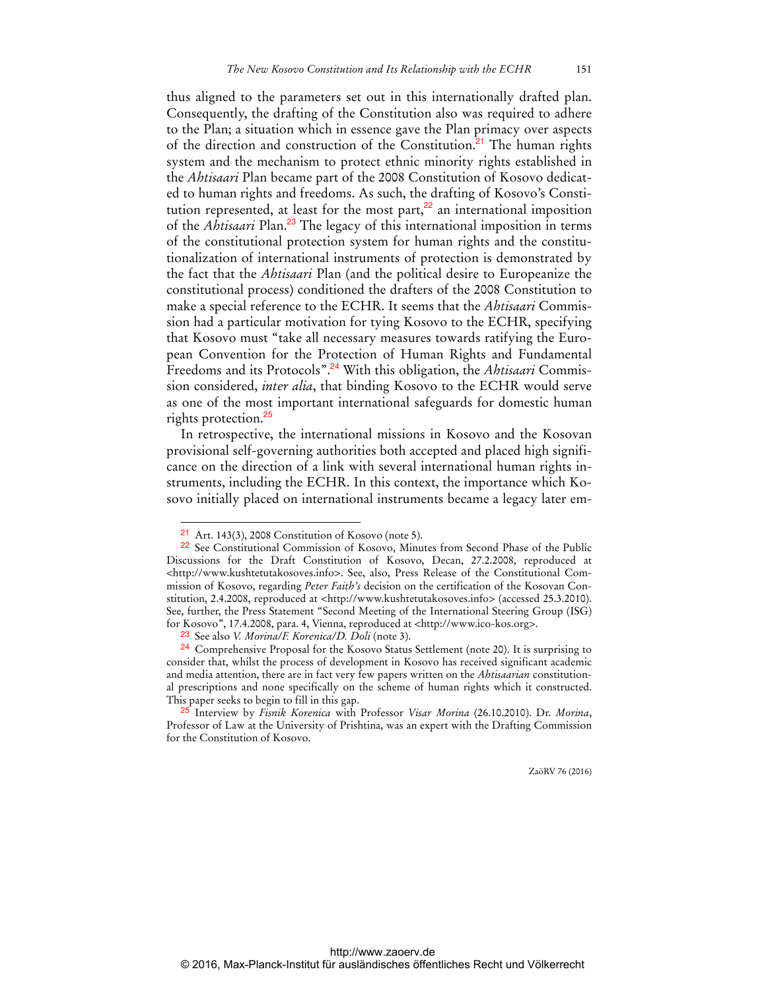thus aligned to the parameters set out in this internationally drafted plan. Consequently, the drafting of the Constitution also was required to adhere to the Plan; a situation which in essence gave the Plan primacy over aspects of the direction and construction of the Constitution.<sup>21</sup> The human rights system and the mechanism to protect ethnic minority rights established in the *Ahtisaari* Plan became part of the 2008 Constitution of Kosovo dedicated to human rights and freedoms. As such, the drafting of Kosovo's Constitution represented, at least for the most part, $^{22}$  an international imposition of the *Ahtisaari* Plan.<sup>23</sup> The legacy of this international imposition in terms of the constitutional protection system for human rights and the constitutionalization of international instruments of protection is demonstrated by the fact that the *Ahtisaari* Plan (and the political desire to Europeanize the constitutional process) conditioned the drafters of the 2008 Constitution to make a special reference to the ECHR. It seems that the *Ahtisaari* Commission had a particular motivation for tying Kosovo to the ECHR, specifying that Kosovo must "take all necessary measures towards ratifying the European Convention for the Protection of Human Rights and Fundamental Freedoms and its Protocols".24 With this obligation, the *Ahtisaari* Commission considered, *inter alia*, that binding Kosovo to the ECHR would serve as one of the most important international safeguards for domestic human rights protection.<sup>25</sup>

In retrospective, the international missions in Kosovo and the Kosovan provisional self-governing authorities both accepted and placed high significance on the direction of a link with several international human rights instruments, including the ECHR. In this context, the importance which Kosovo initially placed on international instruments became a legacy later em-

 $\ddot{ }$ 

Art. 143(3), 2008 Constitution of Kosovo (note 5).

<sup>22</sup> See Constitutional Commission of Kosovo, Minutes from Second Phase of the Public Discussions for the Draft Constitution of Kosovo, Decan, 27.2.2008, reproduced at [<http://www.kushtetutakosoves.info>. Se](http://www.kushtetutakosoves.info)e, also, Press Release of the Constitutional Commission of Kosovo, regarding *Peter Faith's* decision on the certification of the Kosovan Constitution, 2.4.2008, reproduced at <[http://www.kushtetutakosoves.info>](http://www.kushtetutakosoves.info) (accessed 25.3.2010). See, further, the Press Statement "Second Meeting of the International Steering Group (ISG) for Kosovo", 17.4.2008, para. 4, Vienna, reproduced at [<http://www.ico-kos.org>.](http://www.ico-kos.org) 

<sup>23</sup> See also *V. Morina/F. Korenica/D. Doli* (note 3).

<sup>&</sup>lt;sup>24</sup> Comprehensive Proposal for the Kosovo Status Settlement (note 20). It is surprising to consider that, whilst the process of development in Kosovo has received significant academic and media attention, there are in fact very few papers written on the *Ahtisaarian* constitutional prescriptions and none specifically on the scheme of human rights which it constructed. This paper seeks to begin to fill in this gap.

<sup>25</sup> Interview by *Fisnik Korenica* with Professor *Visar Morina* (26.10.2010). Dr. *Morina*, Professor of Law at the University of Prishtina, was an expert with the Drafting Commission for the Constitution of Kosovo.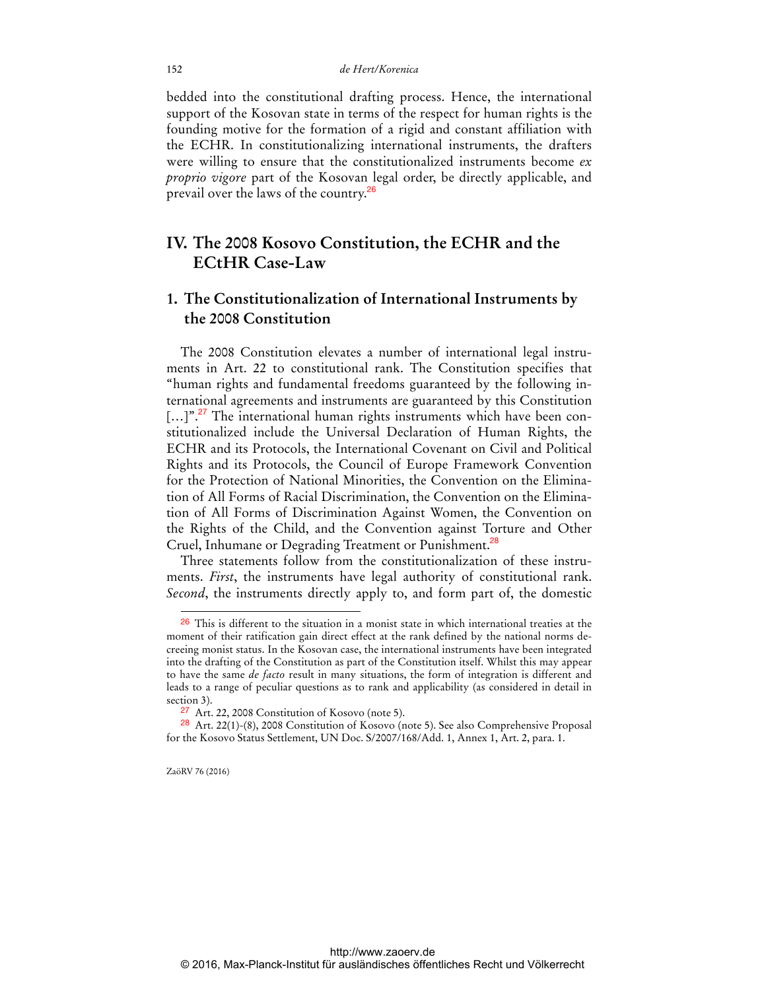bedded into the constitutional drafting process. Hence, the international support of the Kosovan state in terms of the respect for human rights is the founding motive for the formation of a rigid and constant affiliation with the ECHR. In constitutionalizing international instruments, the drafters were willing to ensure that the constitutionalized instruments become *ex proprio vigore* part of the Kosovan legal order, be directly applicable, and prevail over the laws of the country.<sup>26</sup>

### **IV. The 2008 Kosovo Constitution, the ECHR and the ECtHR Case-Law**

# **1. The Constitutionalization of International Instruments by the 2008 Constitution**

The 2008 Constitution elevates a number of international legal instruments in Art. 22 to constitutional rank. The Constitution specifies that "human rights and fundamental freedoms guaranteed by the following international agreements and instruments are guaranteed by this Constitution [...]".<sup>27</sup> The international human rights instruments which have been constitutionalized include the Universal Declaration of Human Rights, the ECHR and its Protocols, the International Covenant on Civil and Political Rights and its Protocols, the Council of Europe Framework Convention for the Protection of National Minorities, the Convention on the Elimination of All Forms of Racial Discrimination, the Convention on the Elimination of All Forms of Discrimination Against Women, the Convention on the Rights of the Child, and the Convention against Torture and Other Cruel, Inhumane or Degrading Treatment or Punishment.<sup>28</sup>

Three statements follow from the constitutionalization of these instruments. *First*, the instruments have legal authority of constitutional rank. *Second*, the instruments directly apply to, and form part of, the domestic

ZaöRV 76 (2016)

 $26$  This is different to the situation in a monist state in which international treaties at the moment of their ratification gain direct effect at the rank defined by the national norms decreeing monist status. In the Kosovan case, the international instruments have been integrated into the drafting of the Constitution as part of the Constitution itself. Whilst this may appear to have the same *de facto* result in many situations, the form of integration is different and leads to a range of peculiar questions as to rank and applicability (as considered in detail in section 3).

<sup>27</sup> Art. 22, 2008 Constitution of Kosovo (note 5).

<sup>28</sup> Art. 22(1)-(8), 2008 Constitution of Kosovo (note 5). See also Comprehensive Proposal for the Kosovo Status Settlement, UN Doc. S/2007/168/Add. 1, Annex 1, Art. 2, para. 1.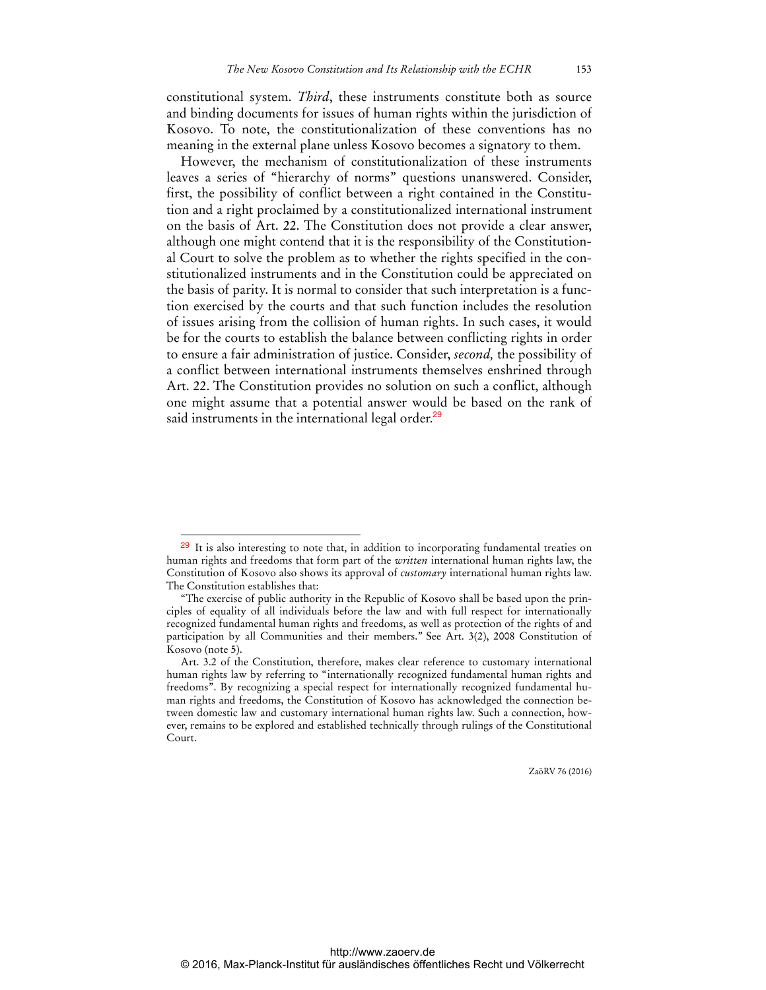constitutional system. *Third*, these instruments constitute both as source and binding documents for issues of human rights within the jurisdiction of Kosovo. To note, the constitutionalization of these conventions has no meaning in the external plane unless Kosovo becomes a signatory to them.

However, the mechanism of constitutionalization of these instruments leaves a series of "hierarchy of norms" questions unanswered. Consider, first, the possibility of conflict between a right contained in the Constitution and a right proclaimed by a constitutionalized international instrument on the basis of Art. 22. The Constitution does not provide a clear answer, although one might contend that it is the responsibility of the Constitutional Court to solve the problem as to whether the rights specified in the constitutionalized instruments and in the Constitution could be appreciated on the basis of parity. It is normal to consider that such interpretation is a function exercised by the courts and that such function includes the resolution of issues arising from the collision of human rights. In such cases, it would be for the courts to establish the balance between conflicting rights in order to ensure a fair administration of justice. Consider, *second,* the possibility of a conflict between international instruments themselves enshrined through Art. 22. The Constitution provides no solution on such a conflict, although one might assume that a potential answer would be based on the rank of said instruments in the international legal order.<sup>29</sup>

 $\overline{a}$ 

 $29$  It is also interesting to note that, in addition to incorporating fundamental treaties on human rights and freedoms that form part of the *written* international human rights law, the Constitution of Kosovo also shows its approval of *customary* international human rights law. The Constitution establishes that:

<sup>&</sup>quot;The exercise of public authority in the Republic of Kosovo shall be based upon the principles of equality of all individuals before the law and with full respect for internationally recognized fundamental human rights and freedoms, as well as protection of the rights of and participation by all Communities and their members." See Art. 3(2), 2008 Constitution of Kosovo (note 5).

Art. 3.2 of the Constitution, therefore, makes clear reference to customary international human rights law by referring to "internationally recognized fundamental human rights and freedoms". By recognizing a special respect for internationally recognized fundamental human rights and freedoms, the Constitution of Kosovo has acknowledged the connection between domestic law and customary international human rights law. Such a connection, however, remains to be explored and established technically through rulings of the Constitutional Court.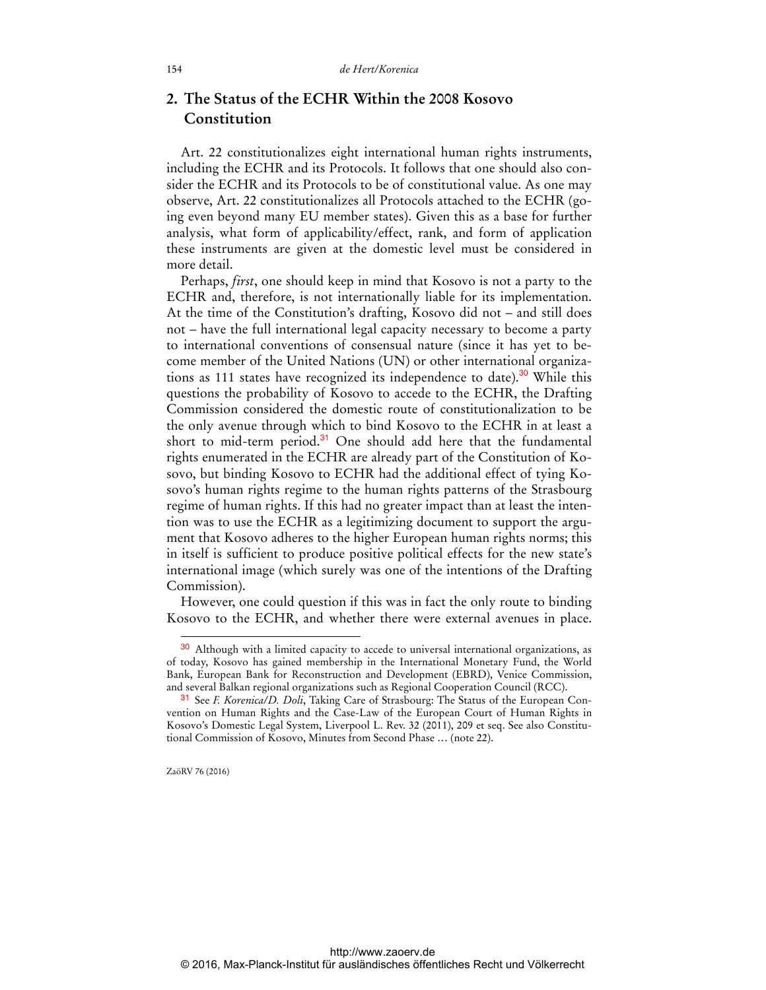## **2. The Status of the ECHR Within the 2008 Kosovo Constitution**

Art. 22 constitutionalizes eight international human rights instruments, including the ECHR and its Protocols. It follows that one should also consider the ECHR and its Protocols to be of constitutional value. As one may observe, Art. 22 constitutionalizes all Protocols attached to the ECHR (going even beyond many EU member states). Given this as a base for further analysis, what form of applicability/effect, rank, and form of application these instruments are given at the domestic level must be considered in more detail.

Perhaps, *first*, one should keep in mind that Kosovo is not a party to the ECHR and, therefore, is not internationally liable for its implementation. At the time of the Constitution's drafting, Kosovo did not – and still does not – have the full international legal capacity necessary to become a party to international conventions of consensual nature (since it has yet to become member of the United Nations (UN) or other international organizations as 111 states have recognized its independence to date).<sup>30</sup> While this questions the probability of Kosovo to accede to the ECHR, the Drafting Commission considered the domestic route of constitutionalization to be the only avenue through which to bind Kosovo to the ECHR in at least a short to mid-term period.<sup>31</sup> One should add here that the fundamental rights enumerated in the ECHR are already part of the Constitution of Kosovo, but binding Kosovo to ECHR had the additional effect of tying Kosovo's human rights regime to the human rights patterns of the Strasbourg regime of human rights. If this had no greater impact than at least the intention was to use the ECHR as a legitimizing document to support the argument that Kosovo adheres to the higher European human rights norms; this in itself is sufficient to produce positive political effects for the new state's international image (which surely was one of the intentions of the Drafting Commission).

However, one could question if this was in fact the only route to binding Kosovo to the ECHR, and whether there were external avenues in place.

ZaöRV 76 (2016)

<sup>&</sup>lt;sup>30</sup> Although with a limited capacity to accede to universal international organizations, as of today, Kosovo has gained membership in the International Monetary Fund, the World Bank, European Bank for Reconstruction and Development (EBRD), Venice Commission, and several Balkan regional organizations such as Regional Cooperation Council (RCC).

<sup>31</sup> See *F. Korenica/D. Doli*, Taking Care of Strasbourg: The Status of the European Convention on Human Rights and the Case-Law of the European Court of Human Rights in Kosovo's Domestic Legal System, Liverpool L. Rev. 32 (2011), 209 et seq. See also Constitutional Commission of Kosovo, Minutes from Second Phase … (note 22).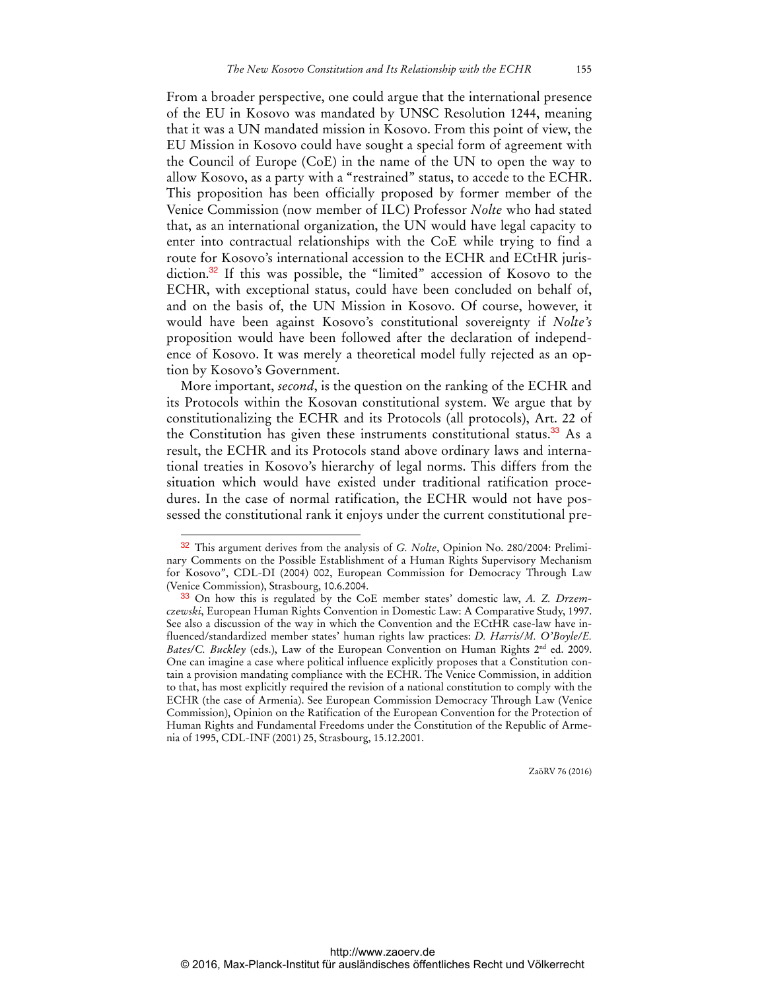From a broader perspective, one could argue that the international presence of the EU in Kosovo was mandated by UNSC Resolution 1244, meaning that it was a UN mandated mission in Kosovo. From this point of view, the EU Mission in Kosovo could have sought a special form of agreement with the Council of Europe (CoE) in the name of the UN to open the way to allow Kosovo, as a party with a "restrained" status, to accede to the ECHR. This proposition has been officially proposed by former member of the Venice Commission (now member of ILC) Professor *Nolte* who had stated that, as an international organization, the UN would have legal capacity to enter into contractual relationships with the CoE while trying to find a route for Kosovo's international accession to the ECHR and ECtHR jurisdiction.<sup>32</sup> If this was possible, the "limited" accession of Kosovo to the ECHR, with exceptional status, could have been concluded on behalf of, and on the basis of, the UN Mission in Kosovo. Of course, however, it would have been against Kosovo's constitutional sovereignty if *Nolte's* proposition would have been followed after the declaration of independence of Kosovo. It was merely a theoretical model fully rejected as an option by Kosovo's Government.

More important, *second*, is the question on the ranking of the ECHR and its Protocols within the Kosovan constitutional system. We argue that by constitutionalizing the ECHR and its Protocols (all protocols), Art. 22 of the Constitution has given these instruments constitutional status.<sup>33</sup> As a result, the ECHR and its Protocols stand above ordinary laws and international treaties in Kosovo's hierarchy of legal norms. This differs from the situation which would have existed under traditional ratification procedures. In the case of normal ratification, the ECHR would not have possessed the constitutional rank it enjoys under the current constitutional pre-

 $\overline{a}$ 

<sup>32</sup> This argument derives from the analysis of *G. Nolte*, Opinion No. 280/2004: Preliminary Comments on the Possible Establishment of a Human Rights Supervisory Mechanism for Kosovo", CDL-DI (2004) 002, European Commission for Democracy Through Law (Venice Commission), Strasbourg, 10.6.2004.

<sup>33</sup> On how this is regulated by the CoE member states' domestic law, *A. Z. Drzemczewski*, European Human Rights Convention in Domestic Law: A Comparative Study, 1997. See also a discussion of the way in which the Convention and the ECtHR case-law have influenced/standardized member states' human rights law practices: *D. Harris/M. O'Boyle/E. Bates/C. Buckley* (eds.), Law of the European Convention on Human Rights 2<sup>nd</sup> ed. 2009. One can imagine a case where political influence explicitly proposes that a Constitution contain a provision mandating compliance with the ECHR. The Venice Commission, in addition to that, has most explicitly required the revision of a national constitution to comply with the ECHR (the case of Armenia). See European Commission Democracy Through Law (Venice Commission), Opinion on the Ratification of the European Convention for the Protection of Human Rights and Fundamental Freedoms under the Constitution of the Republic of Armenia of 1995, CDL-INF (2001) 25, Strasbourg, 15.12.2001.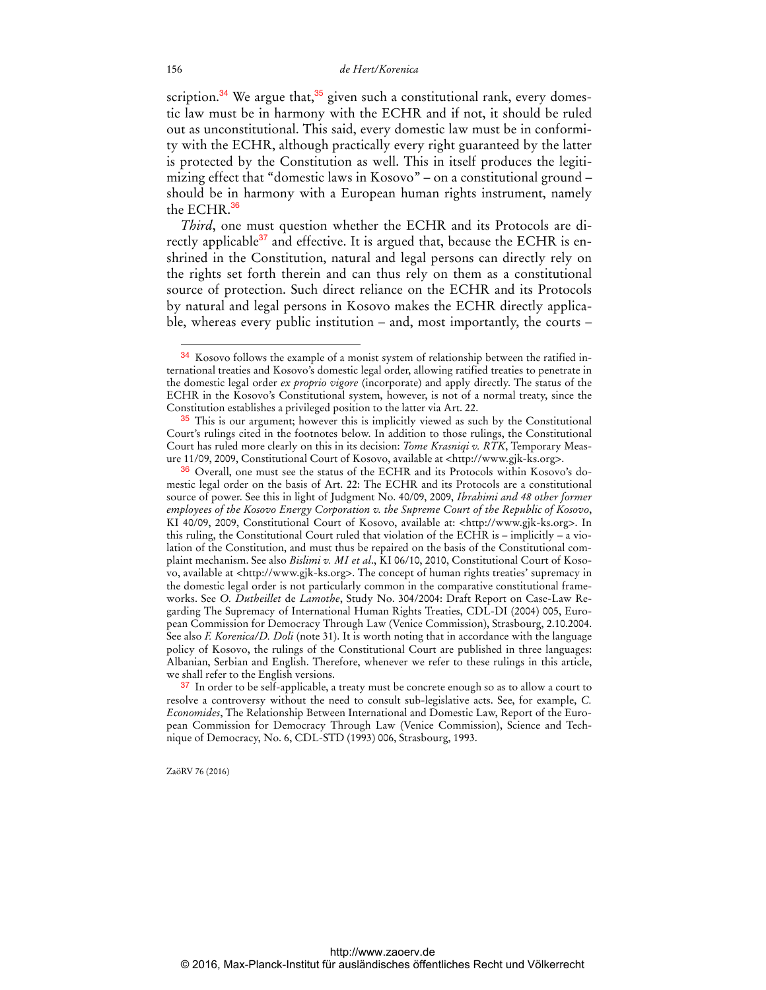scription.<sup>34</sup> We argue that,<sup>35</sup> given such a constitutional rank, every domestic law must be in harmony with the ECHR and if not, it should be ruled out as unconstitutional. This said, every domestic law must be in conformity with the ECHR, although practically every right guaranteed by the latter is protected by the Constitution as well. This in itself produces the legitimizing effect that "domestic laws in Kosovo" – on a constitutional ground – should be in harmony with a European human rights instrument, namely the ECHR.<sup>36</sup>

*Third*, one must question whether the ECHR and its Protocols are directly applicable<sup>37</sup> and effective. It is argued that, because the ECHR is enshrined in the Constitution, natural and legal persons can directly rely on the rights set forth therein and can thus rely on them as a constitutional source of protection. Such direct reliance on the ECHR and its Protocols by natural and legal persons in Kosovo makes the ECHR directly applicable, whereas every public institution – and, most importantly, the courts –

ZaöRV 76 (2016)

 $\ddot{ }$ 

<sup>34</sup> Kosovo follows the example of a monist system of relationship between the ratified international treaties and Kosovo's domestic legal order, allowing ratified treaties to penetrate in the domestic legal order *ex proprio vigore* (incorporate) and apply directly. The status of the ECHR in the Kosovo's Constitutional system, however, is not of a normal treaty, since the Constitution establishes a privileged position to the latter via Art. 22.

<sup>&</sup>lt;sup>35</sup> This is our argument; however this is implicitly viewed as such by the Constitutional Court's rulings cited in the footnotes below. In addition to those rulings, the Constitutional Court has ruled more clearly on this in its decision: *Tome Krasniqi v. RTK*, Temporary Measure 11/09, 2009, Constitutional Court of Kosovo, available at [<http://www.gjk-ks.org](http://www.gjk-ks.org)>.

<sup>36</sup> Overall, one must see the status of the ECHR and its Protocols within Kosovo's domestic legal order on the basis of Art. 22: The ECHR and its Protocols are a constitutional source of power. See this in light of Judgment No. 40/09, 2009, *Ibrahimi and 48 other former employees of the Kosovo Energy Corporation v. the Supreme Court of the Republic of Kosovo*, KI 40/09, 2009, Constitutional Court of Kosovo, available at: [<http://www.gjk-ks.org](http://www.gjk-ks.org)>. In this ruling, the Constitutional Court ruled that violation of the ECHR is – implicitly – a violation of the Constitution, and must thus be repaired on the basis of the Constitutional complaint mechanism. See also *Bislimi v. MI et al*., KI 06/10, 2010, Constitutional Court of Kosovo, available at [<http://www.gjk-ks.org](http://www.gjk-ks.org)>. The concept of human rights treaties' supremacy in the domestic legal order is not particularly common in the comparative constitutional frameworks. See *O. Dutheillet* de *Lamothe*, Study No. 304/2004: Draft Report on Case-Law Regarding The Supremacy of International Human Rights Treaties, CDL-DI (2004) 005, European Commission for Democracy Through Law (Venice Commission), Strasbourg, 2.10.2004. See also *F. Korenica/D. Doli* (note 31). It is worth noting that in accordance with the language policy of Kosovo, the rulings of the Constitutional Court are published in three languages: Albanian, Serbian and English. Therefore, whenever we refer to these rulings in this article, we shall refer to the English versions.

<sup>&</sup>lt;sup>37</sup> In order to be self-applicable, a treaty must be concrete enough so as to allow a court to resolve a controversy without the need to consult sub-legislative acts. See, for example, *C. Economides*, The Relationship Between International and Domestic Law, Report of the European Commission for Democracy Through Law (Venice Commission), Science and Technique of Democracy, No. 6, CDL-STD (1993) 006, Strasbourg, 1993.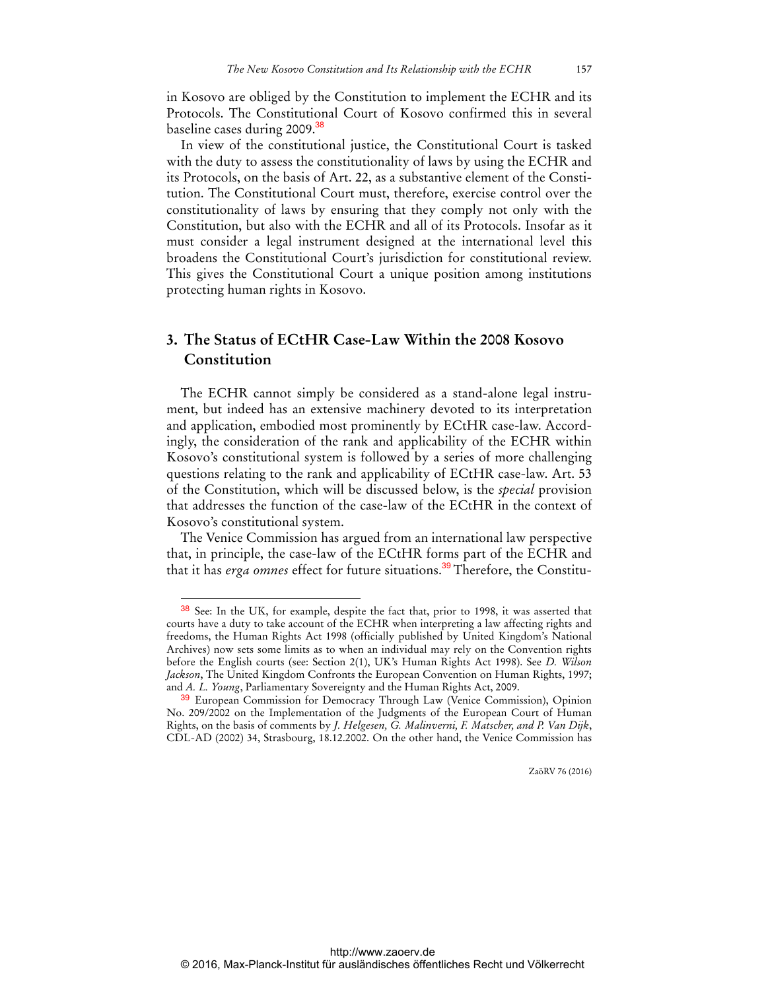in Kosovo are obliged by the Constitution to implement the ECHR and its Protocols. The Constitutional Court of Kosovo confirmed this in several baseline cases during 2009.<sup>38</sup>

In view of the constitutional justice, the Constitutional Court is tasked with the duty to assess the constitutionality of laws by using the ECHR and its Protocols, on the basis of Art. 22, as a substantive element of the Constitution. The Constitutional Court must, therefore, exercise control over the constitutionality of laws by ensuring that they comply not only with the Constitution, but also with the ECHR and all of its Protocols. Insofar as it must consider a legal instrument designed at the international level this broadens the Constitutional Court's jurisdiction for constitutional review. This gives the Constitutional Court a unique position among institutions protecting human rights in Kosovo.

# **3. The Status of ECtHR Case-Law Within the 2008 Kosovo Constitution**

The ECHR cannot simply be considered as a stand-alone legal instrument, but indeed has an extensive machinery devoted to its interpretation and application, embodied most prominently by ECtHR case-law. Accordingly, the consideration of the rank and applicability of the ECHR within Kosovo's constitutional system is followed by a series of more challenging questions relating to the rank and applicability of ECtHR case-law. Art. 53 of the Constitution, which will be discussed below, is the *special* provision that addresses the function of the case-law of the ECtHR in the context of Kosovo's constitutional system.

The Venice Commission has argued from an international law perspective that, in principle, the case-law of the ECtHR forms part of the ECHR and that it has *erga omnes* effect for future situations.<sup>39</sup>Therefore, the Constitu-

 $\overline{a}$ 

<sup>38</sup> See: In the UK, for example, despite the fact that, prior to 1998, it was asserted that courts have a duty to take account of the ECHR when interpreting a law affecting rights and freedoms, the Human Rights Act 1998 (officially published by United Kingdom's National Archives) now sets some limits as to when an individual may rely on the Convention rights before the English courts (see: Section 2(1), UK's Human Rights Act 1998). See *D. Wilson Jackson*, The United Kingdom Confronts the European Convention on Human Rights, 1997; and *A. L. Young*, Parliamentary Sovereignty and the Human Rights Act, 2009.

<sup>39</sup> European Commission for Democracy Through Law (Venice Commission), Opinion No. 209/2002 on the Implementation of the Judgments of the European Court of Human Rights, on the basis of comments by *J. Helgesen, G. Malinverni, F. Matscher, and P. Van Dijk*, CDL-AD (2002) 34, Strasbourg, 18.12.2002. On the other hand, the Venice Commission has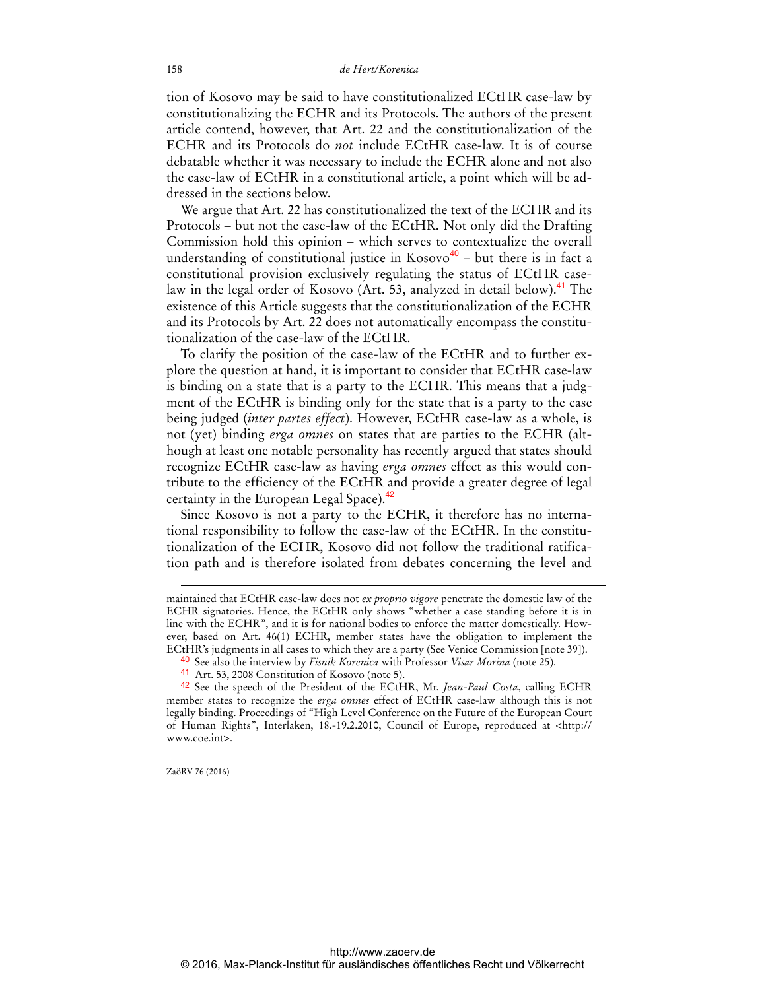tion of Kosovo may be said to have constitutionalized ECtHR case-law by constitutionalizing the ECHR and its Protocols. The authors of the present article contend, however, that Art. 22 and the constitutionalization of the ECHR and its Protocols do *not* include ECtHR case-law. It is of course debatable whether it was necessary to include the ECHR alone and not also the case-law of ECtHR in a constitutional article, a point which will be addressed in the sections below.

We argue that Art. 22 has constitutionalized the text of the ECHR and its Protocols – but not the case-law of the ECtHR. Not only did the Drafting Commission hold this opinion – which serves to contextualize the overall understanding of constitutional justice in  $Kosovo<sup>40</sup> - but there is in fact a$ constitutional provision exclusively regulating the status of ECtHR caselaw in the legal order of Kosovo (Art. 53, analyzed in detail below).<sup>41</sup> The existence of this Article suggests that the constitutionalization of the ECHR and its Protocols by Art. 22 does not automatically encompass the constitutionalization of the case-law of the ECtHR.

To clarify the position of the case-law of the ECtHR and to further explore the question at hand, it is important to consider that ECtHR case-law is binding on a state that is a party to the ECHR. This means that a judgment of the ECtHR is binding only for the state that is a party to the case being judged (*inter partes effect*). However, ECtHR case-law as a whole, is not (yet) binding *erga omnes* on states that are parties to the ECHR (although at least one notable personality has recently argued that states should recognize ECtHR case-law as having *erga omnes* effect as this would contribute to the efficiency of the ECtHR and provide a greater degree of legal certainty in the European Legal Space).<sup>42</sup>

Since Kosovo is not a party to the ECHR, it therefore has no international responsibility to follow the case-law of the ECtHR. In the constitutionalization of the ECHR, Kosovo did not follow the traditional ratification path and is therefore isolated from debates concerning the level and

ZaöRV 76 (2016)

maintained that ECtHR case-law does not *ex proprio vigore* penetrate the domestic law of the ECHR signatories. Hence, the ECtHR only shows "whether a case standing before it is in line with the ECHR", and it is for national bodies to enforce the matter domestically. However, based on Art. 46(1) ECHR, member states have the obligation to implement the ECtHR's judgments in all cases to which they are a party (See Venice Commission [note 39]).

<sup>40</sup> See also the interview by *Fisnik Korenica* with Professor *Visar Morina* (note 25).

<sup>41</sup> Art. 53, 2008 Constitution of Kosovo (note 5).

<sup>42</sup> See the speech of the President of the ECtHR, Mr. *Jean-Paul Costa*, calling ECHR member states to recognize the *erga omnes* effect of ECtHR case-law although this is not legally binding. Proceedings of "High Level Conference on the Future of the European Court of Human Rights", Interlaken, 18.-19.2.2010, Council of Europe, reproduced at [<http://](http://www.coe.int)  [www.coe.int>.](http://www.coe.int)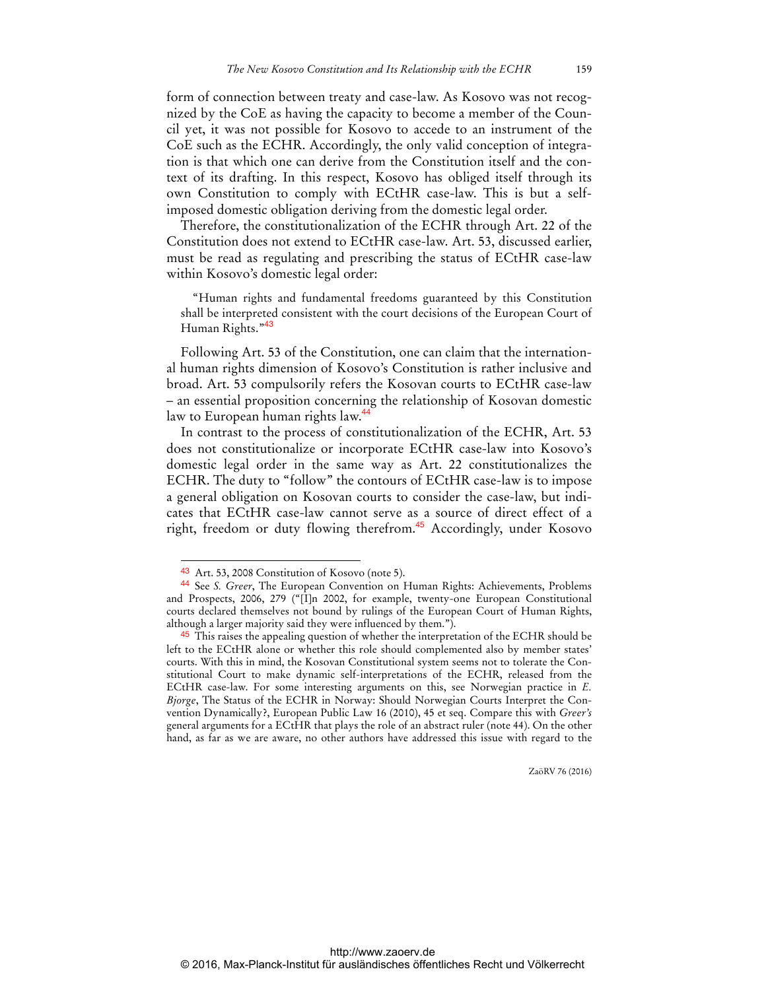form of connection between treaty and case-law. As Kosovo was not recognized by the CoE as having the capacity to become a member of the Council yet, it was not possible for Kosovo to accede to an instrument of the CoE such as the ECHR. Accordingly, the only valid conception of integration is that which one can derive from the Constitution itself and the context of its drafting. In this respect, Kosovo has obliged itself through its own Constitution to comply with ECtHR case-law. This is but a selfimposed domestic obligation deriving from the domestic legal order.

Therefore, the constitutionalization of the ECHR through Art. 22 of the Constitution does not extend to ECtHR case-law. Art. 53, discussed earlier, must be read as regulating and prescribing the status of ECtHR case-law within Kosovo's domestic legal order:

"Human rights and fundamental freedoms guaranteed by this Constitution shall be interpreted consistent with the court decisions of the European Court of Human Rights."<sup>43</sup>

Following Art. 53 of the Constitution, one can claim that the international human rights dimension of Kosovo's Constitution is rather inclusive and broad. Art. 53 compulsorily refers the Kosovan courts to ECtHR case-law – an essential proposition concerning the relationship of Kosovan domestic law to European human rights law.<sup>44</sup>

In contrast to the process of constitutionalization of the ECHR, Art. 53 does not constitutionalize or incorporate ECtHR case-law into Kosovo's domestic legal order in the same way as Art. 22 constitutionalizes the ECHR. The duty to "follow" the contours of ECtHR case-law is to impose a general obligation on Kosovan courts to consider the case-law, but indicates that ECtHR case-law cannot serve as a source of direct effect of a right, freedom or duty flowing therefrom.<sup>45</sup> Accordingly, under Kosovo

<sup>43</sup> Art. 53, 2008 Constitution of Kosovo (note 5).

<sup>44</sup> See *S. Greer*, The European Convention on Human Rights: Achievements, Problems and Prospects, 2006, 279 ("[I]n 2002, for example, twenty-one European Constitutional courts declared themselves not bound by rulings of the European Court of Human Rights, although a larger majority said they were influenced by them.").

<sup>&</sup>lt;sup>45</sup> This raises the appealing question of whether the interpretation of the ECHR should be left to the ECtHR alone or whether this role should complemented also by member states' courts. With this in mind, the Kosovan Constitutional system seems not to tolerate the Constitutional Court to make dynamic self-interpretations of the ECHR, released from the ECtHR case-law. For some interesting arguments on this, see Norwegian practice in *E. Bjorge*, The Status of the ECHR in Norway: Should Norwegian Courts Interpret the Convention Dynamically?, European Public Law 16 (2010), 45 et seq. Compare this with *Greer's* general arguments for a ECtHR that plays the role of an abstract ruler (note 44). On the other hand, as far as we are aware, no other authors have addressed this issue with regard to the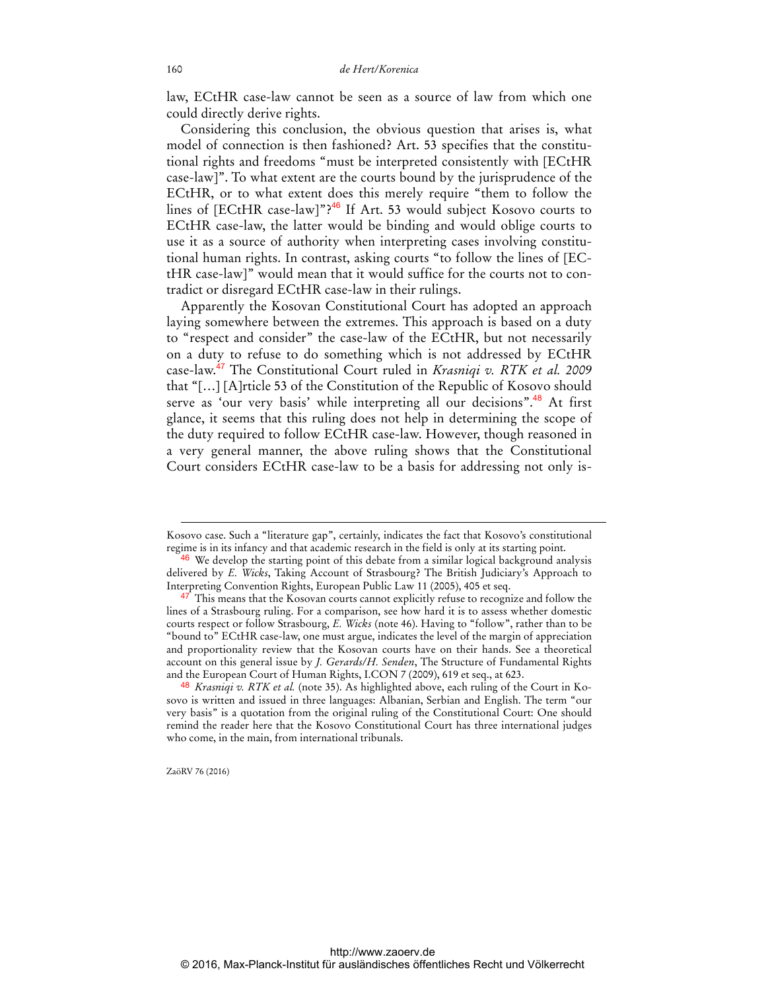law, ECtHR case-law cannot be seen as a source of law from which one could directly derive rights.

Considering this conclusion, the obvious question that arises is, what model of connection is then fashioned? Art. 53 specifies that the constitutional rights and freedoms "must be interpreted consistently with [ECtHR case-law]". To what extent are the courts bound by the jurisprudence of the ECtHR, or to what extent does this merely require "them to follow the lines of [ECtHR case-law]"?<sup>46</sup> If Art. 53 would subject Kosovo courts to ECtHR case-law, the latter would be binding and would oblige courts to use it as a source of authority when interpreting cases involving constitutional human rights. In contrast, asking courts "to follow the lines of [ECtHR case-law]" would mean that it would suffice for the courts not to contradict or disregard ECtHR case-law in their rulings.

Apparently the Kosovan Constitutional Court has adopted an approach laying somewhere between the extremes. This approach is based on a duty to "respect and consider" the case-law of the ECtHR, but not necessarily on a duty to refuse to do something which is not addressed by ECtHR case-law.<sup>47</sup> The Constitutional Court ruled in *Krasniqi v. RTK et al. 2009* that "[…] [A]rticle 53 of the Constitution of the Republic of Kosovo should serve as 'our very basis' while interpreting all our decisions".<sup>48</sup> At first glance, it seems that this ruling does not help in determining the scope of the duty required to follow ECtHR case-law. However, though reasoned in a very general manner, the above ruling shows that the Constitutional Court considers ECtHR case-law to be a basis for addressing not only is-

ZaöRV 76 (2016)

 $\ddot{ }$ 

Kosovo case. Such a "literature gap", certainly, indicates the fact that Kosovo's constitutional regime is in its infancy and that academic research in the field is only at its starting point.

<sup>&</sup>lt;sup>46</sup> We develop the starting point of this debate from a similar logical background analysis delivered by *E. Wicks*, Taking Account of Strasbourg? The British Judiciary's Approach to Interpreting Convention Rights, European Public Law 11 (2005), 405 et seq.

<sup>&</sup>lt;sup>47</sup> This means that the Kosovan courts cannot explicitly refuse to recognize and follow the lines of a Strasbourg ruling. For a comparison, see how hard it is to assess whether domestic courts respect or follow Strasbourg, *E. Wicks* (note 46). Having to "follow", rather than to be "bound to" ECtHR case-law, one must argue, indicates the level of the margin of appreciation and proportionality review that the Kosovan courts have on their hands. See a theoretical account on this general issue by *J. Gerards/H. Senden*, The Structure of Fundamental Rights and the European Court of Human Rights, I.CON 7 (2009), 619 et seq., at 623.

<sup>48</sup> *Krasniqi v. RTK et al.* (note 35). As highlighted above, each ruling of the Court in Kosovo is written and issued in three languages: Albanian, Serbian and English. The term "our very basis" is a quotation from the original ruling of the Constitutional Court: One should remind the reader here that the Kosovo Constitutional Court has three international judges who come, in the main, from international tribunals.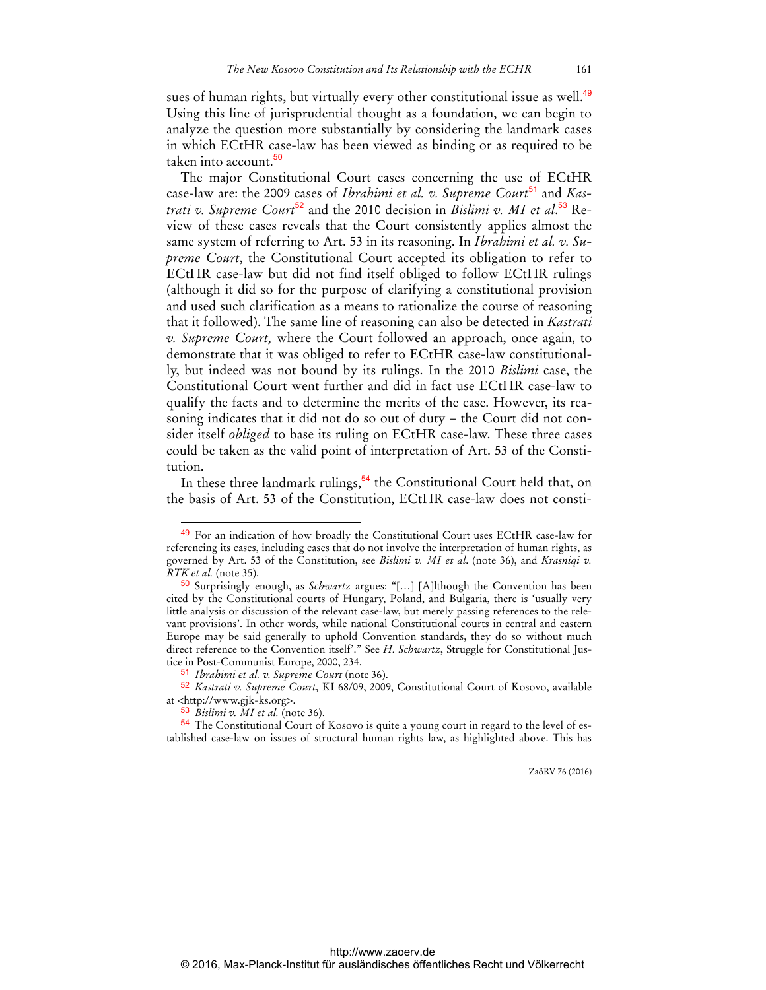sues of human rights, but virtually every other constitutional issue as well.<sup>49</sup> Using this line of jurisprudential thought as a foundation, we can begin to analyze the question more substantially by considering the landmark cases in which ECtHR case-law has been viewed as binding or as required to be taken into account.<sup>50</sup>

The major Constitutional Court cases concerning the use of ECtHR case-law are: the 2009 cases of *Ibrahimi et al. v. Supreme Court*<sup>51</sup> and *Kastrati v. Supreme Court*<sup>52</sup> and the 2010 decision in *Bislimi v. MI et al*. 53 Review of these cases reveals that the Court consistently applies almost the same system of referring to Art. 53 in its reasoning. In *Ibrahimi et al. v. Supreme Court*, the Constitutional Court accepted its obligation to refer to ECtHR case-law but did not find itself obliged to follow ECtHR rulings (although it did so for the purpose of clarifying a constitutional provision and used such clarification as a means to rationalize the course of reasoning that it followed). The same line of reasoning can also be detected in *Kastrati v. Supreme Court,* where the Court followed an approach, once again, to demonstrate that it was obliged to refer to ECtHR case-law constitutionally, but indeed was not bound by its rulings. In the 2010 *Bislimi* case, the Constitutional Court went further and did in fact use ECtHR case-law to qualify the facts and to determine the merits of the case. However, its reasoning indicates that it did not do so out of duty – the Court did not consider itself *obliged* to base its ruling on ECtHR case-law. These three cases could be taken as the valid point of interpretation of Art. 53 of the Constitution.

In these three landmark rulings,  $54$  the Constitutional Court held that, on the basis of Art. 53 of the Constitution, ECtHR case-law does not consti-

51 *Ibrahimi et al. v. Supreme Court* (note 36).

 $\ddot{ }$ 

<sup>49</sup> For an indication of how broadly the Constitutional Court uses ECtHR case-law for referencing its cases, including cases that do not involve the interpretation of human rights, as governed by Art. 53 of the Constitution, see *Bislimi v. MI et al*. (note 36), and *Krasniqi v. RTK et al.* (note 35).

<sup>50</sup> Surprisingly enough, as *Schwartz* argues: ''[…] [A]lthough the Convention has been cited by the Constitutional courts of Hungary, Poland, and Bulgaria, there is 'usually very little analysis or discussion of the relevant case-law, but merely passing references to the relevant provisions'. In other words, while national Constitutional courts in central and eastern Europe may be said generally to uphold Convention standards, they do so without much direct reference to the Convention itself'." See *H. Schwartz*, Struggle for Constitutional Justice in Post-Communist Europe, 2000, 234.

<sup>52</sup> *Kastrati v. Supreme Court*, KI 68/09, 2009, Constitutional Court of Kosovo, available at <<http://www.gjk-ks.org>>.

<sup>53</sup> *Bislimi v. MI et al.* (note 36).

<sup>54</sup> The Constitutional Court of Kosovo is quite a young court in regard to the level of established case-law on issues of structural human rights law, as highlighted above. This has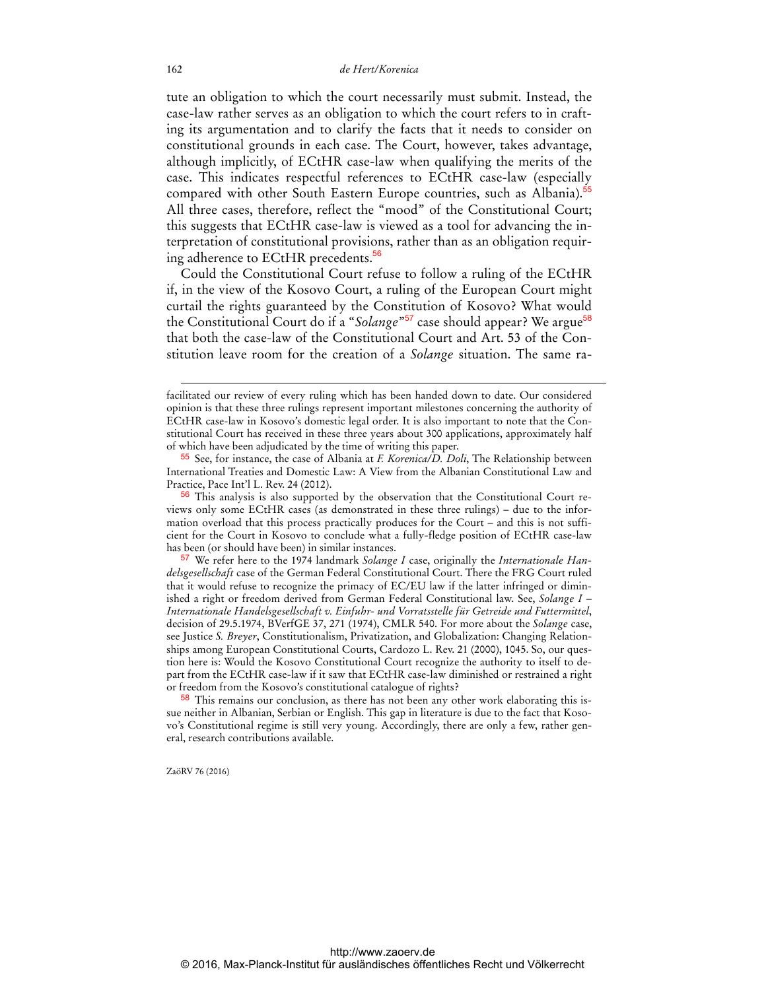tute an obligation to which the court necessarily must submit. Instead, the case-law rather serves as an obligation to which the court refers to in crafting its argumentation and to clarify the facts that it needs to consider on constitutional grounds in each case. The Court, however, takes advantage, although implicitly, of ECtHR case-law when qualifying the merits of the case. This indicates respectful references to ECtHR case-law (especially compared with other South Eastern Europe countries, such as Albania).<sup>55</sup> All three cases, therefore, reflect the "mood" of the Constitutional Court; this suggests that ECtHR case-law is viewed as a tool for advancing the interpretation of constitutional provisions, rather than as an obligation requiring adherence to ECtHR precedents.<sup>56</sup>

Could the Constitutional Court refuse to follow a ruling of the ECtHR if, in the view of the Kosovo Court, a ruling of the European Court might curtail the rights guaranteed by the Constitution of Kosovo? What would the Constitutional Court do if a "*Solange*"<sup>57</sup> case should appear? We argue<sup>58</sup> that both the case-law of the Constitutional Court and Art. 53 of the Constitution leave room for the creation of a *Solange* situation. The same ra-

ZaöRV 76 (2016)

facilitated our review of every ruling which has been handed down to date. Our considered opinion is that these three rulings represent important milestones concerning the authority of ECtHR case-law in Kosovo's domestic legal order. It is also important to note that the Constitutional Court has received in these three years about 300 applications, approximately half of which have been adjudicated by the time of writing this paper.

<sup>55</sup> See, for instance, the case of Albania at *F. Korenica/D. Doli*, The Relationship between International Treaties and Domestic Law: A View from the Albanian Constitutional Law and Practice, Pace Int'l L. Rev. 24 (2012).

<sup>&</sup>lt;sup>56</sup> This analysis is also supported by the observation that the Constitutional Court reviews only some ECtHR cases (as demonstrated in these three rulings) – due to the information overload that this process practically produces for the Court – and this is not sufficient for the Court in Kosovo to conclude what a fully-fledge position of ECtHR case-law has been (or should have been) in similar instances.

<sup>57</sup> We refer here to the 1974 landmark *Solange I* case, originally the *Internationale Handelsgesellschaft* case of the German Federal Constitutional Court. There the FRG Court ruled that it would refuse to recognize the primacy of EC/EU law if the latter infringed or diminished a right or freedom derived from German Federal Constitutional law. See, *Solange I – Internationale Handelsgesellschaft v. Einfuhr- und Vorratsstelle für Getreide und Futtermittel*, decision of 29.5.1974, BVerfGE 37, 271 (1974), CMLR 540. For more about the *Solange* case, see Justice *S. Breyer*, Constitutionalism, Privatization, and Globalization: Changing Relationships among European Constitutional Courts, Cardozo L. Rev. 21 (2000), 1045. So, our question here is: Would the Kosovo Constitutional Court recognize the authority to itself to depart from the ECtHR case-law if it saw that ECtHR case-law diminished or restrained a right or freedom from the Kosovo's constitutional catalogue of rights?

<sup>58</sup> This remains our conclusion, as there has not been any other work elaborating this issue neither in Albanian, Serbian or English. This gap in literature is due to the fact that Kosovo's Constitutional regime is still very young. Accordingly, there are only a few, rather general, research contributions available.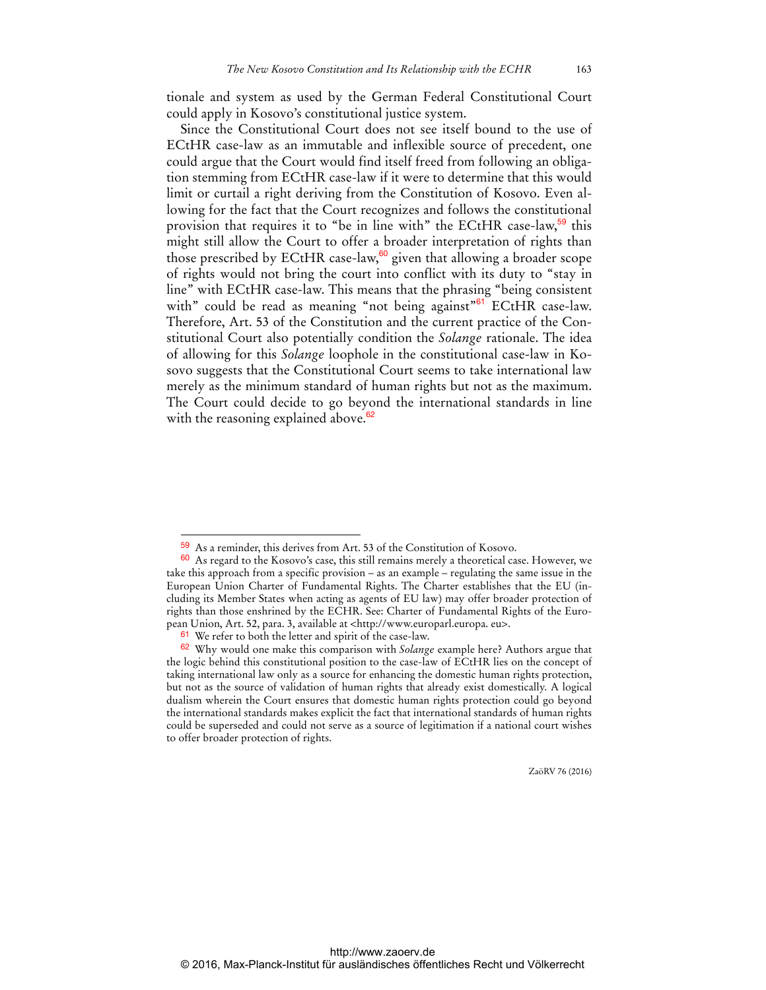tionale and system as used by the German Federal Constitutional Court could apply in Kosovo's constitutional justice system.

Since the Constitutional Court does not see itself bound to the use of ECtHR case-law as an immutable and inflexible source of precedent, one could argue that the Court would find itself freed from following an obligation stemming from ECtHR case-law if it were to determine that this would limit or curtail a right deriving from the Constitution of Kosovo. Even allowing for the fact that the Court recognizes and follows the constitutional provision that requires it to "be in line with" the ECtHR case-law,<sup>59</sup> this might still allow the Court to offer a broader interpretation of rights than those prescribed by ECtHR case-law, $60$  given that allowing a broader scope of rights would not bring the court into conflict with its duty to "stay in line" with ECtHR case-law. This means that the phrasing "being consistent with" could be read as meaning "not being against"<sup>61</sup> ECtHR case-law. Therefore, Art. 53 of the Constitution and the current practice of the Constitutional Court also potentially condition the *Solange* rationale. The idea of allowing for this *Solange* loophole in the constitutional case-law in Kosovo suggests that the Constitutional Court seems to take international law merely as the minimum standard of human rights but not as the maximum. The Court could decide to go beyond the international standards in line with the reasoning explained above.<sup>62</sup>

 $\overline{a}$ 

<sup>59</sup> As a reminder, this derives from Art. 53 of the Constitution of Kosovo.

<sup>60</sup> As regard to the Kosovo's case, this still remains merely a theoretical case. However, we take this approach from a specific provision – as an example – regulating the same issue in the European Union Charter of Fundamental Rights. The Charter establishes that the EU (including its Member States when acting as agents of EU law) may offer broader protection of rights than those enshrined by the ECHR. See: Charter of Fundamental Rights of the European Union, Art. 52, para. 3, available at [<http://www.europarl.europa. eu>.](http://www.europarl.europa.eu) 

 $61$  We refer to both the letter and spirit of the case-law.

<sup>62</sup> Why would one make this comparison with *Solange* example here? Authors argue that the logic behind this constitutional position to the case-law of ECtHR lies on the concept of taking international law only as a source for enhancing the domestic human rights protection, but not as the source of validation of human rights that already exist domestically. A logical dualism wherein the Court ensures that domestic human rights protection could go beyond the international standards makes explicit the fact that international standards of human rights could be superseded and could not serve as a source of legitimation if a national court wishes to offer broader protection of rights.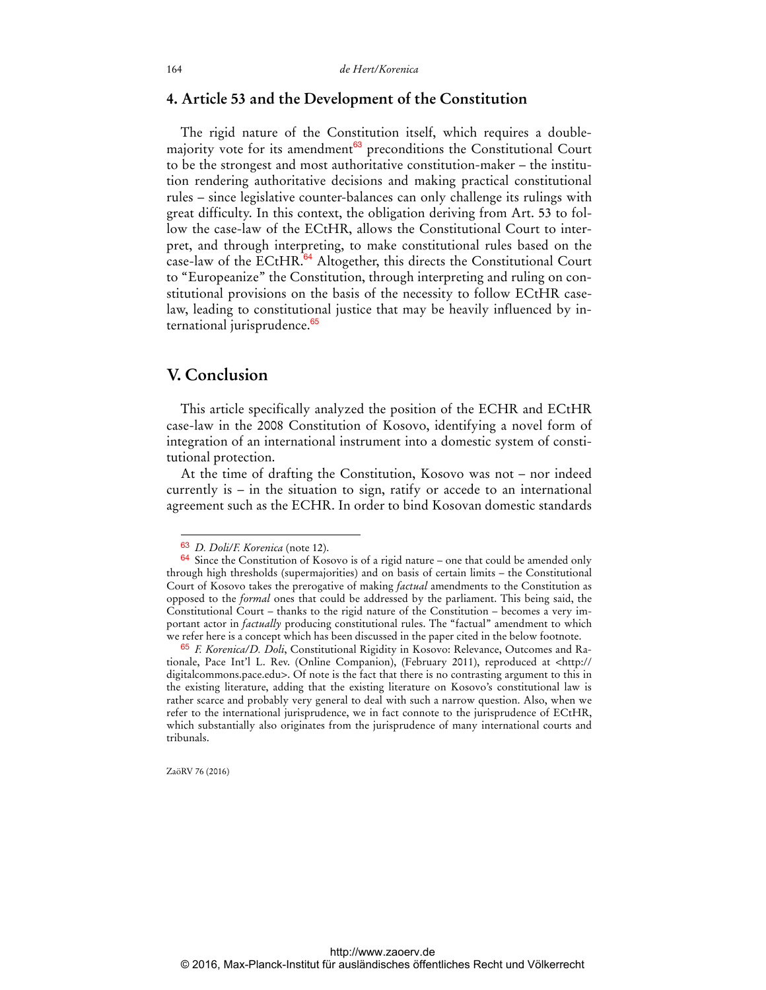### **4. Article 53 and the Development of the Constitution**

The rigid nature of the Constitution itself, which requires a doublemajority vote for its amendment<sup>63</sup> preconditions the Constitutional Court to be the strongest and most authoritative constitution-maker – the institution rendering authoritative decisions and making practical constitutional rules – since legislative counter-balances can only challenge its rulings with great difficulty. In this context, the obligation deriving from Art. 53 to follow the case-law of the ECtHR, allows the Constitutional Court to interpret, and through interpreting, to make constitutional rules based on the case-law of the ECtHR.<sup>64</sup> Altogether, this directs the Constitutional Court to "Europeanize" the Constitution, through interpreting and ruling on constitutional provisions on the basis of the necessity to follow ECtHR caselaw, leading to constitutional justice that may be heavily influenced by international jurisprudence.<sup>65</sup>

### **V. Conclusion**

This article specifically analyzed the position of the ECHR and ECtHR case-law in the 2008 Constitution of Kosovo, identifying a novel form of integration of an international instrument into a domestic system of constitutional protection.

At the time of drafting the Constitution, Kosovo was not – nor indeed currently is – in the situation to sign, ratify or accede to an international agreement such as the ECHR. In order to bind Kosovan domestic standards

ZaöRV 76 (2016)

<sup>63</sup> *D. Doli/F. Korenica* (note 12).

<sup>64</sup> Since the Constitution of Kosovo is of a rigid nature – one that could be amended only through high thresholds (supermajorities) and on basis of certain limits – the Constitutional Court of Kosovo takes the prerogative of making *factual* amendments to the Constitution as opposed to the *formal* ones that could be addressed by the parliament. This being said, the Constitutional Court – thanks to the rigid nature of the Constitution – becomes a very important actor in *factually* producing constitutional rules. The "factual" amendment to which we refer here is a concept which has been discussed in the paper cited in the below footnote.

<sup>65</sup> *F. Korenica/D. Doli*, Constitutional Rigidity in Kosovo: Relevance, Outcomes and Rationale, Pace Int'l L. Rev. (Online Companion), (February 2011), reproduced at [<http:](http://digitalcommons.pace.edu)// [digitalcommons.pace.edu](http://digitalcommons.pace.edu)>. Of note is the fact that there is no contrasting argument to this in the existing literature, adding that the existing literature on Kosovo's constitutional law is rather scarce and probably very general to deal with such a narrow question. Also, when we refer to the international jurisprudence, we in fact connote to the jurisprudence of ECtHR, which substantially also originates from the jurisprudence of many international courts and tribunals.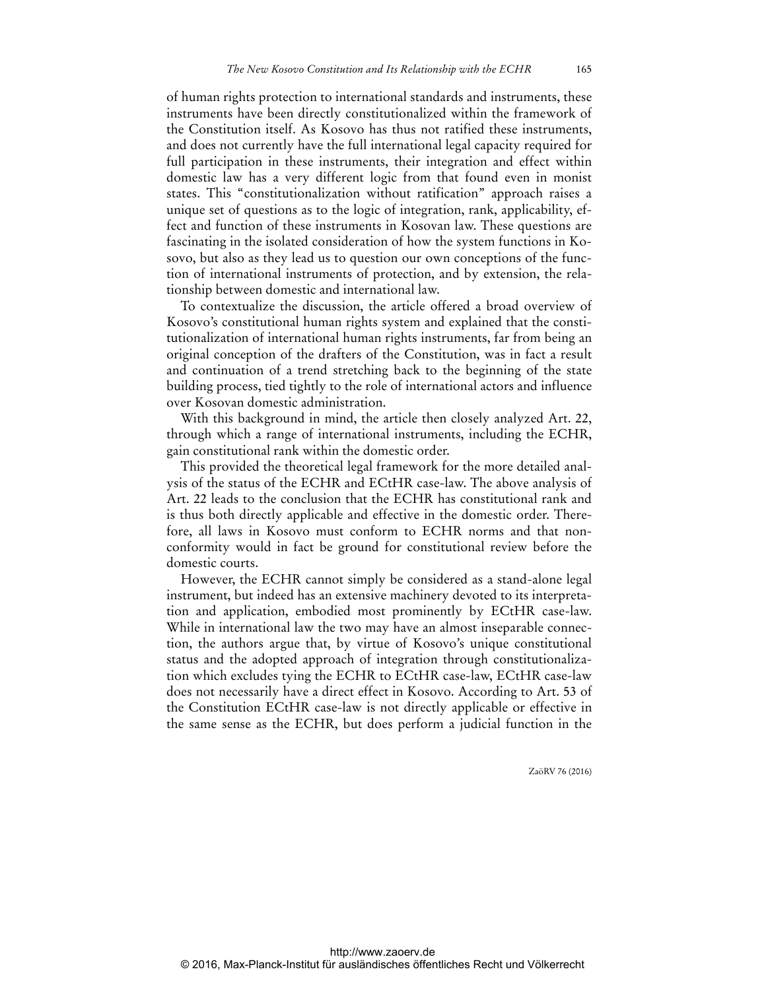of human rights protection to international standards and instruments, these instruments have been directly constitutionalized within the framework of the Constitution itself. As Kosovo has thus not ratified these instruments, and does not currently have the full international legal capacity required for full participation in these instruments, their integration and effect within domestic law has a very different logic from that found even in monist states. This "constitutionalization without ratification" approach raises a unique set of questions as to the logic of integration, rank, applicability, effect and function of these instruments in Kosovan law. These questions are fascinating in the isolated consideration of how the system functions in Kosovo, but also as they lead us to question our own conceptions of the function of international instruments of protection, and by extension, the relationship between domestic and international law.

To contextualize the discussion, the article offered a broad overview of Kosovo's constitutional human rights system and explained that the constitutionalization of international human rights instruments, far from being an original conception of the drafters of the Constitution, was in fact a result and continuation of a trend stretching back to the beginning of the state building process, tied tightly to the role of international actors and influence over Kosovan domestic administration.

With this background in mind, the article then closely analyzed Art. 22, through which a range of international instruments, including the ECHR, gain constitutional rank within the domestic order.

This provided the theoretical legal framework for the more detailed analysis of the status of the ECHR and ECtHR case-law. The above analysis of Art. 22 leads to the conclusion that the ECHR has constitutional rank and is thus both directly applicable and effective in the domestic order. Therefore, all laws in Kosovo must conform to ECHR norms and that nonconformity would in fact be ground for constitutional review before the domestic courts.

However, the ECHR cannot simply be considered as a stand-alone legal instrument, but indeed has an extensive machinery devoted to its interpretation and application, embodied most prominently by ECtHR case-law. While in international law the two may have an almost inseparable connection, the authors argue that, by virtue of Kosovo's unique constitutional status and the adopted approach of integration through constitutionalization which excludes tying the ECHR to ECtHR case-law, ECtHR case-law does not necessarily have a direct effect in Kosovo. According to Art. 53 of the Constitution ECtHR case-law is not directly applicable or effective in the same sense as the ECHR, but does perform a judicial function in the